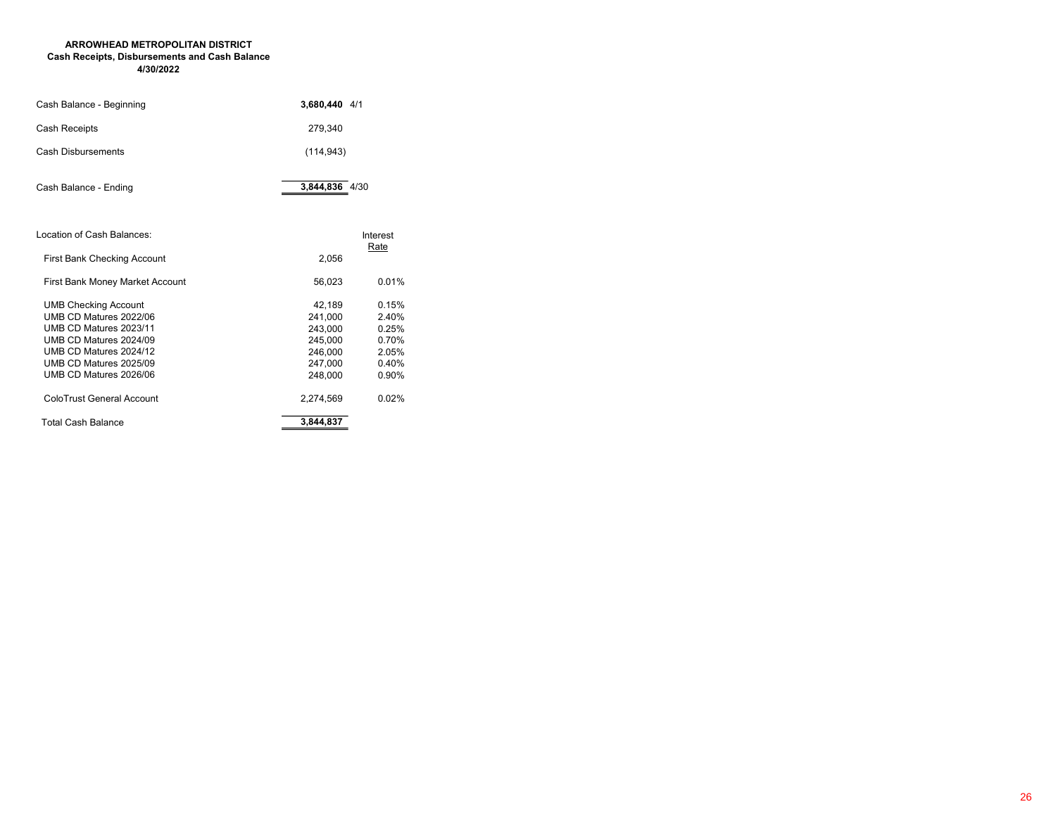#### ARROWHEAD METROPOLITAN DISTRICT Cash Receipts, Disbursements and Cash Balance 4/30/2022

| Cash Balance - Beginning  | 3.680.440 4/1  |
|---------------------------|----------------|
| <b>Cash Receipts</b>      | 279.340        |
| <b>Cash Disbursements</b> | (114, 943)     |
| Cash Balance - Ending     | 3,844,836 4/30 |

| Location of Cash Balances:      |           | Interest<br>Rate |
|---------------------------------|-----------|------------------|
| First Bank Checking Account     | 2.056     |                  |
| First Bank Money Market Account | 56,023    | 0.01%            |
| <b>UMB Checking Account</b>     | 42.189    | 0.15%            |
| UMB CD Matures 2022/06          | 241.000   | 2.40%            |
| UMB CD Matures 2023/11          | 243.000   | 0.25%            |
| UMB CD Matures 2024/09          | 245.000   | 0.70%            |
| UMB CD Matures 2024/12          | 246,000   | 2.05%            |
| UMB CD Matures 2025/09          | 247.000   | 0.40%            |
| UMB CD Matures 2026/06          | 248.000   | 0.90%            |
| ColoTrust General Account       | 2,274,569 | 0.02%            |
| <b>Total Cash Balance</b>       | 3.844.837 |                  |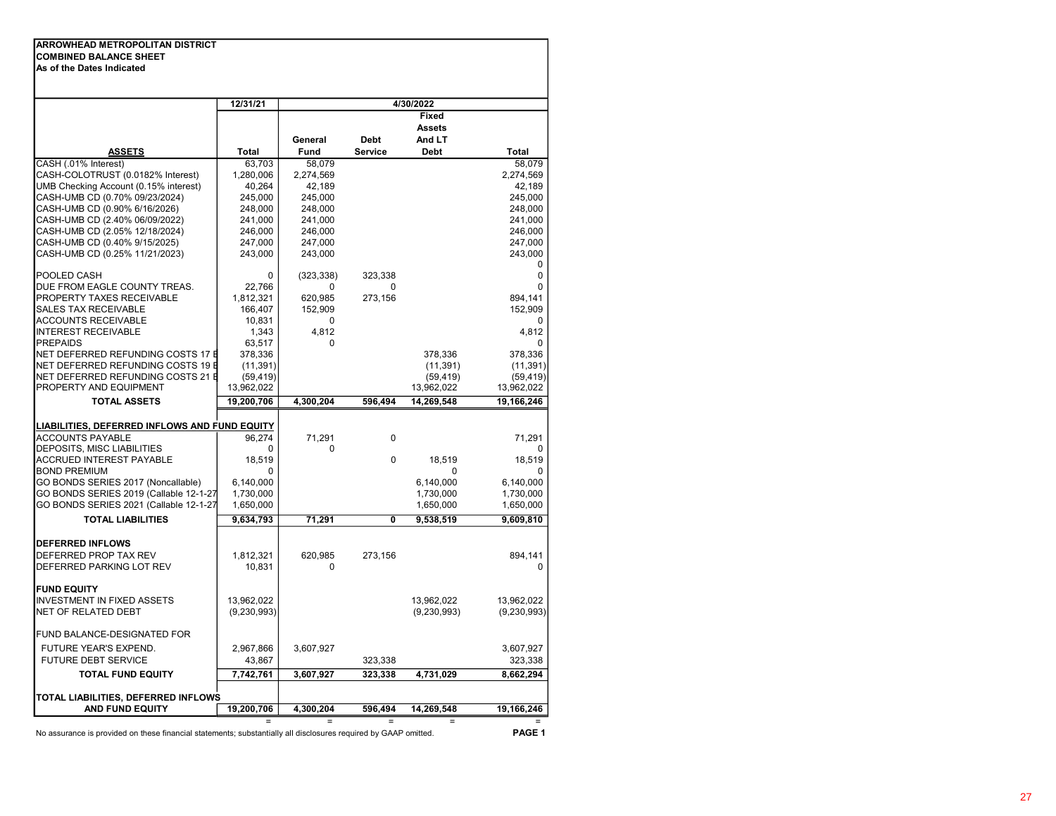#### ARROWHEAD METROPOLITAN DISTRICT COMBINED BALANCE SHEET

As of the Dates Indicated

|                                                               | 12/31/21            |                                                                                                                 |                         | 4/30/2022     |                     |
|---------------------------------------------------------------|---------------------|-----------------------------------------------------------------------------------------------------------------|-------------------------|---------------|---------------------|
|                                                               |                     |                                                                                                                 |                         | Fixed         |                     |
|                                                               |                     |                                                                                                                 |                         | <b>Assets</b> |                     |
|                                                               |                     | General                                                                                                         | <b>Debt</b>             | And LT        |                     |
| <b>ASSETS</b>                                                 | <b>Total</b>        | <b>Fund</b>                                                                                                     | <b>Service</b>          | <b>Debt</b>   | <b>Total</b>        |
| CASH (.01% Interest)<br>CASH-COLOTRUST (0.0182% Interest)     | 63,703<br>1,280,006 | 58,079<br>2,274,569                                                                                             |                         |               | 58,079<br>2,274,569 |
| UMB Checking Account (0.15% interest)                         | 40.264              | 42.189                                                                                                          |                         |               | 42.189              |
| CASH-UMB CD (0.70% 09/23/2024)                                | 245,000             | 245,000                                                                                                         |                         |               | 245,000             |
| CASH-UMB CD (0.90% 6/16/2026)                                 | 248,000             | 248,000                                                                                                         |                         |               | 248,000             |
| CASH-UMB CD (2.40% 06/09/2022)                                | 241,000             | 241,000                                                                                                         |                         |               | 241,000             |
| CASH-UMB CD (2.05% 12/18/2024)                                | 246,000             | 246,000                                                                                                         |                         |               | 246,000             |
| CASH-UMB CD (0.40% 9/15/2025)                                 | 247.000             | 247.000                                                                                                         |                         |               | 247.000             |
| CASH-UMB CD (0.25% 11/21/2023)                                | 243,000             | 243,000                                                                                                         |                         |               | 243,000             |
|                                                               |                     |                                                                                                                 |                         |               | 0                   |
| POOLED CASH                                                   | 0                   | (323, 338)                                                                                                      | 323,338                 |               | 0                   |
| DUE FROM EAGLE COUNTY TREAS.                                  | 22,766              | 0                                                                                                               | 0                       |               | $\Omega$            |
| PROPERTY TAXES RECEIVABLE                                     | 1,812,321           | 620,985                                                                                                         | 273,156                 |               | 894.141             |
| SALES TAX RECEIVABLE                                          | 166,407             | 152,909                                                                                                         |                         |               | 152,909             |
| <b>ACCOUNTS RECEIVABLE</b>                                    | 10,831              | 0                                                                                                               |                         |               | 0                   |
| <b>INTEREST RECEIVABLE</b>                                    | 1,343               | 4,812                                                                                                           |                         |               | 4,812               |
| <b>PREPAIDS</b>                                               | 63.517              | 0                                                                                                               |                         |               |                     |
| NET DEFERRED REFUNDING COSTS 17 B                             | 378,336             |                                                                                                                 |                         | 378,336       | 378,336             |
| NET DEFERRED REFUNDING COSTS 19 B                             | (11, 391)           |                                                                                                                 |                         | (11, 391)     | (11, 391)           |
| NET DEFERRED REFUNDING COSTS 21 E                             | (59, 419)           |                                                                                                                 |                         | (59, 419)     | (59, 419)           |
| PROPERTY AND EQUIPMENT                                        | 13,962,022          |                                                                                                                 |                         | 13,962,022    | 13,962,022          |
| <b>TOTAL ASSETS</b>                                           | 19.200.706          | 4,300,204                                                                                                       | 596,494                 | 14,269,548    | 19,166,246          |
|                                                               |                     |                                                                                                                 |                         |               |                     |
| LIABILITIES, DEFERRED INFLOWS AND FUND EQUITY                 |                     |                                                                                                                 |                         |               |                     |
| <b>ACCOUNTS PAYABLE</b>                                       | 96,274<br>$\Omega$  | 71,291<br>$\Omega$                                                                                              | $\pmb{0}$               |               | 71,291              |
| DEPOSITS, MISC LIABILITIES<br><b>ACCRUED INTEREST PAYABLE</b> | 18.519              |                                                                                                                 | $\mathbf{0}$            | 18.519        | 0<br>18.519         |
| <b>BOND PREMIUM</b>                                           | $\Omega$            |                                                                                                                 |                         | $\Omega$      | U                   |
| GO BONDS SERIES 2017 (Noncallable)                            | 6,140,000           |                                                                                                                 |                         | 6,140,000     | 6,140,000           |
| GO BONDS SERIES 2019 (Callable 12-1-27                        | 1,730,000           |                                                                                                                 |                         | 1,730,000     | 1,730,000           |
| GO BONDS SERIES 2021 (Callable 12-1-27                        | 1,650,000           |                                                                                                                 |                         | 1,650,000     | 1,650,000           |
| <b>TOTAL LIABILITIES</b>                                      | 9,634,793           | 71,291                                                                                                          | $\overline{\mathbf{0}}$ | 9,538,519     | 9,609,810           |
|                                                               |                     |                                                                                                                 |                         |               |                     |
| <b>DEFERRED INFLOWS</b>                                       |                     |                                                                                                                 |                         |               |                     |
| DEFERRED PROP TAX REV                                         | 1,812,321           | 620,985                                                                                                         | 273,156                 |               | 894,141             |
| DEFERRED PARKING LOT REV                                      | 10,831              | 0                                                                                                               |                         |               | $\Omega$            |
|                                                               |                     |                                                                                                                 |                         |               |                     |
| <b>FUND EQUITY</b>                                            |                     |                                                                                                                 |                         |               |                     |
| <b>INVESTMENT IN FIXED ASSETS</b>                             | 13,962,022          |                                                                                                                 |                         | 13,962,022    | 13,962,022          |
| <b>NET OF RELATED DEBT</b>                                    | (9,230,993)         |                                                                                                                 |                         | (9,230,993)   | (9,230,993)         |
| FUND BALANCE-DESIGNATED FOR                                   |                     |                                                                                                                 |                         |               |                     |
| FUTURE YEAR'S EXPEND.                                         | 2,967,866           | 3,607,927                                                                                                       |                         |               | 3,607,927           |
| <b>FUTURE DEBT SERVICE</b>                                    | 43,867              |                                                                                                                 | 323,338                 |               | 323,338             |
| <b>TOTAL FUND EQUITY</b>                                      | 7,742,761           | 3,607,927                                                                                                       | 323,338                 | 4,731,029     | 8,662,294           |
|                                                               |                     |                                                                                                                 |                         |               |                     |
| TOTAL LIABILITIES, DEFERRED INFLOWS                           |                     |                                                                                                                 |                         |               |                     |
| <b>AND FUND EQUITY</b>                                        | 19,200,706          | 4.300.204                                                                                                       | 596.494                 | 14.269.548    | 19.166.246          |
|                                                               |                     | No assurance is provided on these financial statements; substantially all disclosures required by GAAP omitted. |                         | $=$           | PAGE 1              |

27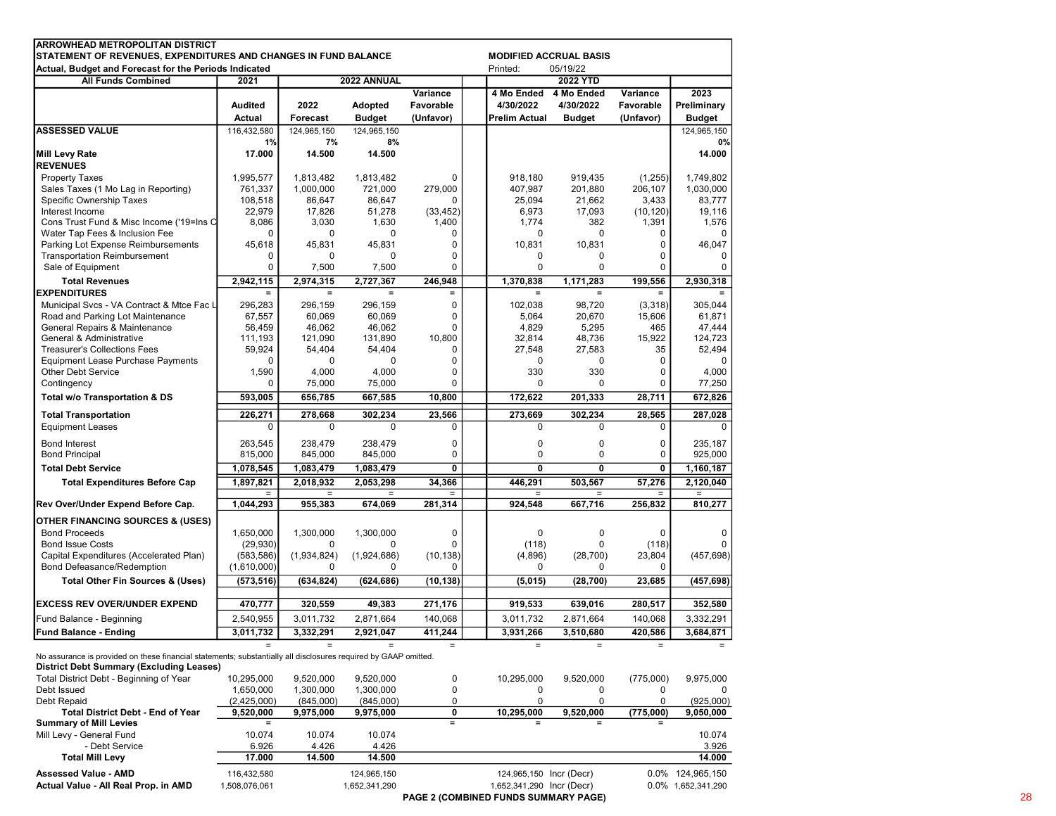| STATEMENT OF REVENUES, EXPENDITURES AND CHANGES IN FUND BALANCE                                                 |                          |                         |                              |                           | <b>MODIFIED ACCRUAL BASIS</b>     |                         |                           |                              |
|-----------------------------------------------------------------------------------------------------------------|--------------------------|-------------------------|------------------------------|---------------------------|-----------------------------------|-------------------------|---------------------------|------------------------------|
| Actual, Budget and Forecast for the Periods Indicated                                                           |                          |                         |                              |                           | Printed:                          | 05/19/22                |                           |                              |
| <b>All Funds Combined</b>                                                                                       | 2021                     |                         | 2022 ANNUAL                  |                           |                                   | 2022 YTD                |                           |                              |
|                                                                                                                 |                          |                         |                              | Variance                  | 4 Mo Ended                        | 4 Mo Ended              | Variance                  | 2023                         |
|                                                                                                                 | Audited<br><b>Actual</b> | 2022<br><b>Forecast</b> | Adopted                      | Favorable                 | 4/30/2022<br><b>Prelim Actual</b> | 4/30/2022               | Favorable<br>(Unfavor)    | Preliminary                  |
| <b>ASSESSED VALUE</b>                                                                                           | 116,432,580              | 124,965,150             | <b>Budget</b><br>124,965,150 | (Unfavor)                 |                                   | <b>Budget</b>           |                           | <b>Budget</b><br>124,965,150 |
|                                                                                                                 | 1%                       | 7%                      | 8%                           |                           |                                   |                         |                           | 0%                           |
| <b>Mill Levy Rate</b>                                                                                           | 17.000                   | 14.500                  | 14.500                       |                           |                                   |                         |                           | 14.000                       |
| <b>REVENUES</b>                                                                                                 |                          |                         |                              |                           |                                   |                         |                           |                              |
| <b>Property Taxes</b>                                                                                           | 1.995.577                | 1,813,482               | 1,813,482                    | 0                         | 918,180                           | 919,435                 | (1,255)                   | 1,749,802                    |
| Sales Taxes (1 Mo Lag in Reporting)                                                                             | 761,337                  | 1,000,000               | 721,000                      | 279,000                   | 407,987                           | 201.880                 | 206,107                   | 1,030,000                    |
| Specific Ownership Taxes                                                                                        | 108,518                  | 86,647                  | 86,647                       | U                         | 25,094                            | 21,662                  | 3,433<br>(10, 120)        | 83,777                       |
| Interest Income<br>Cons Trust Fund & Misc Income ('19=Ins C                                                     | 22,979<br>8,086          | 17,826<br>3,030         | 51,278<br>1,630              | (33, 452)<br>1,400        | 6,973<br>1,774                    | 17,093<br>382           | 1,391                     | 19,116<br>1,576              |
| Water Tap Fees & Inclusion Fee                                                                                  | 0                        | 0                       | 0                            | 0                         | 0                                 | $\Omega$                | 0                         | $\Omega$                     |
| Parking Lot Expense Reimbursements                                                                              | 45,618                   | 45,831                  | 45,831                       | 0                         | 10,831                            | 10,831                  | 0                         | 46,047                       |
| <b>Transportation Reimbursement</b>                                                                             | 0                        | 0                       | 0                            | 0                         | 0                                 | 0                       | 0                         | $\Omega$                     |
| Sale of Equipment                                                                                               | 0                        | 7,500                   | 7,500                        | 0                         | 0                                 | $\Omega$                | 0                         |                              |
| <b>Total Revenues</b>                                                                                           | 2,942,115                | 2,974,315               | 2,727,367                    | 246,948                   | 1,370,838                         | 1,171,283               | 199,556                   | 2,930,318                    |
| <b>EXPENDITURES</b>                                                                                             | $=$                      | $=$                     | $=$                          | $=$                       | $=$                               | $=$                     | $=$                       |                              |
| Municipal Svcs - VA Contract & Mtce Fac L                                                                       | 296,283                  | 296,159                 | 296,159                      | 0                         | 102,038                           | 98,720                  | (3,318)                   | 305,044                      |
| Road and Parking Lot Maintenance                                                                                | 67,557                   | 60,069                  | 60,069                       | $\Omega$                  | 5,064                             | 20,670                  | 15,606                    | 61,871                       |
| General Repairs & Maintenance<br>General & Administrative                                                       | 56,459                   | 46,062                  | 46,062                       | 0                         | 4,829                             | 5,295                   | 465                       | 47,444                       |
| <b>Treasurer's Collections Fees</b>                                                                             | 111,193<br>59,924        | 121,090<br>54,404       | 131,890<br>54,404            | 10,800<br>$\Omega$        | 32,814<br>27,548                  | 48,736<br>27,583        | 15,922<br>35              | 124,723<br>52,494            |
| <b>Equipment Lease Purchase Payments</b>                                                                        | 0                        | 0                       | $\Omega$                     | 0                         | 0                                 | 0                       | 0                         | $\Omega$                     |
| <b>Other Debt Service</b>                                                                                       | 1,590                    | 4,000                   | 4,000                        | O                         | 330                               | 330                     | 0                         | 4,000                        |
| Contingency                                                                                                     | 0                        | 75,000                  | 75,000                       | 0                         | 0                                 | 0                       | 0                         | 77,250                       |
| Total w/o Transportation & DS                                                                                   | 593,005                  | 656,785                 | 667,585                      | 10,800                    | 172,622                           | 201,333                 | 28,711                    | 672,826                      |
| <b>Total Transportation</b>                                                                                     | 226,271                  | 278,668                 | 302,234                      | 23,566                    | 273,669                           | 302,234                 | 28,565                    | 287,028                      |
| <b>Equipment Leases</b>                                                                                         | 0                        | $\Omega$                | $\Omega$                     | 0                         | 0                                 | $\Omega$                | 0                         |                              |
|                                                                                                                 |                          |                         |                              |                           |                                   |                         |                           |                              |
| <b>Bond Interest</b>                                                                                            | 263,545                  | 238,479                 | 238,479                      | 0<br>0                    | $\mathbf 0$                       | 0                       | 0                         | 235,187                      |
| <b>Bond Principal</b>                                                                                           | 815,000                  | 845,000                 | 845,000                      |                           | 0                                 | 0                       | 0                         | 925,000                      |
| <b>Total Debt Service</b>                                                                                       | 1,078,545                | 1,083,479               | 1,083,479                    | $\overline{\mathfrak{o}}$ | $\overline{\mathfrak{o}}$         | $\overline{\mathbf{0}}$ | $\overline{\mathfrak{o}}$ | 1,160,187                    |
| <b>Total Expenditures Before Cap</b>                                                                            | 1,897,821                | 2,018,932               | 2,053,298<br>$=$             | 34,366                    | 446,291                           | 503,567                 | 57,276                    | 2,120,040                    |
| Rev Over/Under Expend Before Cap.                                                                               | $=$<br>1,044,293         | $\equiv$<br>955,383     | 674,069                      | $=$<br>281,314            | $=$<br>924,548                    | $\equiv$<br>667,716     | $=$<br>256,832            | $\equiv$<br>810,277          |
|                                                                                                                 |                          |                         |                              |                           |                                   |                         |                           |                              |
| <b>OTHER FINANCING SOURCES &amp; (USES)</b>                                                                     |                          |                         |                              |                           |                                   |                         |                           |                              |
| <b>Bond Proceeds</b><br><b>Bond Issue Costs</b>                                                                 | 1,650,000<br>(29, 930)   | 1,300,000<br>0          | 1.300.000<br>0               | 0<br>0                    | 0<br>(118)                        | 0<br>0                  | 0<br>(118)                | $\Omega$<br>0                |
| Capital Expenditures (Accelerated Plan)                                                                         | (583, 586)               | (1,934,824)             | (1,924,686)                  | (10, 138)                 | (4,896)                           | (28, 700)               | 23,804                    | (457, 698)                   |
| Bond Defeasance/Redemption                                                                                      | (1,610,000)              | 0                       | 0                            | U                         | 0                                 | 0                       | 0                         |                              |
| Total Other Fin Sources & (Uses)                                                                                | (573, 516)               | (634, 824)              | (624, 686)                   | (10, 138)                 | (5,015)                           | (28, 700)               | 23,685                    | (457,698)                    |
|                                                                                                                 |                          |                         |                              |                           |                                   |                         |                           |                              |
| <b>EXCESS REV OVER/UNDER EXPEND</b>                                                                             | 470,777                  | 320,559                 | 49,383                       | 271,176                   | 919,533                           | 639,016                 | 280,517                   | 352,580                      |
| Fund Balance - Beginning                                                                                        | 2,540,955                | 3,011,732               | 2,871,664                    | 140,068                   | 3,011,732                         | 2,871,664               | 140,068                   | 3,332,291                    |
| Fund Balance - Ending                                                                                           | 3,011,732                | 3,332,291               | 2,921,047                    | 411,244                   | 3,931,266                         | 3,510,680               | 420,586                   | 3,684,871                    |
|                                                                                                                 | $=$                      | $=$                     | $=$                          | $=$                       | $=$                               | $=$                     | $=$                       |                              |
| No assurance is provided on these financial statements; substantially all disclosures required by GAAP omitted. |                          |                         |                              |                           |                                   |                         |                           |                              |
| <b>District Debt Summary (Excluding Leases)</b>                                                                 |                          |                         |                              |                           |                                   |                         |                           |                              |
| Total District Debt - Beginning of Year                                                                         | 10,295,000               | 9,520,000               | 9,520,000                    | 0                         | 10,295,000                        | 9,520,000               | (775,000)                 | 9,975,000                    |
| Debt Issued                                                                                                     | 1,650,000                | 1,300,000               | 1,300,000                    | 0                         | 0                                 | 0                       | 0                         |                              |
| Debt Repaid<br><b>Total District Debt - End of Year</b>                                                         | (2,425,000)<br>9,520,000 | (845,000)<br>9,975,000  | (845,000)<br>9,975,000       | 0<br>0                    | 0<br>10,295,000                   | 0<br>9,520,000          | 0<br>(775,000)            | (925,000)<br>9,050,000       |
| <b>Summary of Mill Levies</b>                                                                                   | $=$                      |                         |                              | $=$                       | $=$                               | $=$                     |                           |                              |
| Mill Levy - General Fund                                                                                        | 10.074                   | 10.074                  | 10.074                       |                           |                                   |                         |                           | 10.074                       |
| - Debt Service                                                                                                  | 6.926                    | 4.426                   | 4.426                        |                           |                                   |                         |                           | 3.926                        |
| <b>Total Mill Levy</b>                                                                                          | 17.000                   | 14.500                  | 14.500                       |                           |                                   |                         |                           | 14.000                       |
| <b>Assessed Value - AMD</b>                                                                                     | 116,432,580              |                         | 124,965,150                  |                           | 124,965,150 Incr (Decr)           |                         |                           | 0.0% 124,965,150             |
| Actual Value - All Real Prop. in AMD                                                                            | 1,508,076,061            |                         | 1,652,341,290                |                           | 1,652,341,290 Incr (Decr)         |                         |                           | 0.0% 1,652,341,290           |

PAGE 2 (COMBINED FUNDS SUMMARY PAGE)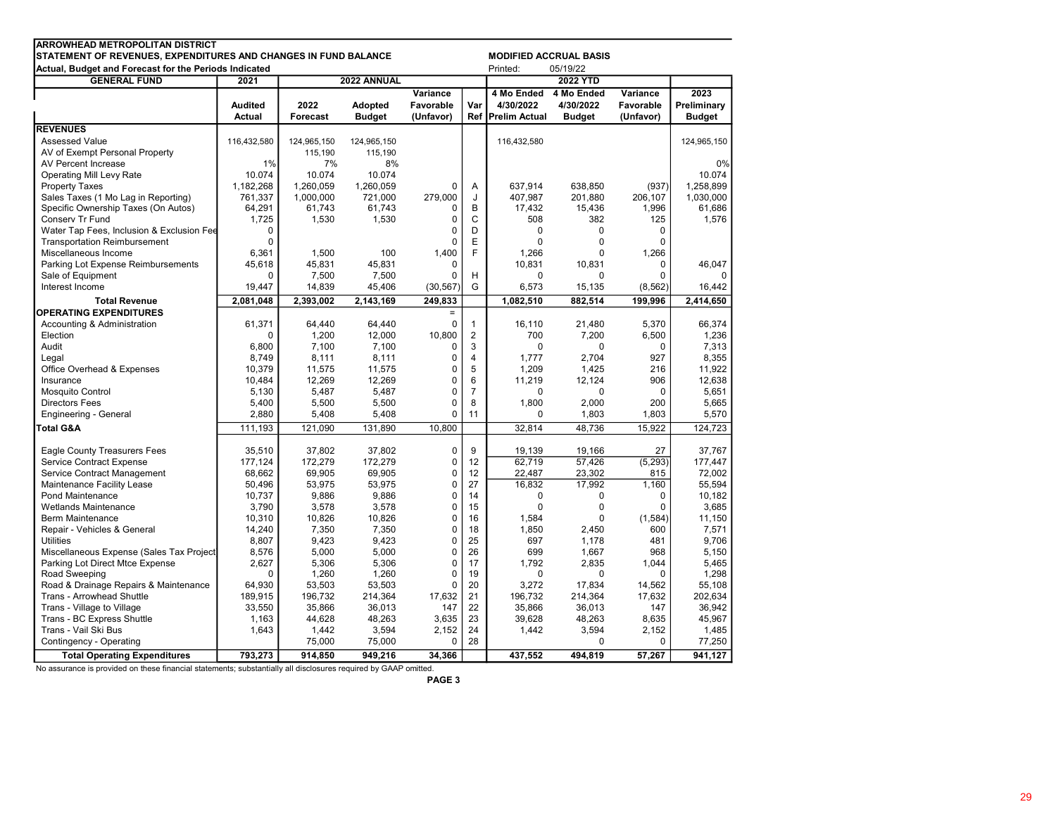| <b>ARROWHEAD METROPOLITAN DISTRICT</b>                                                           |                |                 |               |             |                         |                   |                 |             |               |
|--------------------------------------------------------------------------------------------------|----------------|-----------------|---------------|-------------|-------------------------|-------------------|-----------------|-------------|---------------|
| STATEMENT OF REVENUES, EXPENDITURES AND CHANGES IN FUND BALANCE<br><b>MODIFIED ACCRUAL BASIS</b> |                |                 |               |             |                         |                   |                 |             |               |
| Actual, Budget and Forecast for the Periods Indicated                                            |                | Printed:        | 05/19/22      |             |                         |                   |                 |             |               |
| <b>GENERAL FUND</b>                                                                              | 2021           |                 | 2022 ANNUAL   |             |                         |                   | <b>2022 YTD</b> |             |               |
|                                                                                                  |                |                 |               | Variance    |                         | 4 Mo Ended        | 4 Mo Ended      | Variance    | 2023          |
|                                                                                                  | <b>Audited</b> | 2022            | Adopted       | Favorable   | Var                     | 4/30/2022         | 4/30/2022       | Favorable   | Preliminary   |
|                                                                                                  | <b>Actual</b>  | <b>Forecast</b> | <b>Budget</b> | (Unfavor)   |                         | Ref Prelim Actual | <b>Budget</b>   | (Unfavor)   | <b>Budget</b> |
| <b>REVENUES</b>                                                                                  |                |                 |               |             |                         |                   |                 |             |               |
| <b>Assessed Value</b>                                                                            | 116,432,580    | 124,965,150     | 124,965,150   |             |                         | 116,432,580       |                 |             | 124,965,150   |
| AV of Exempt Personal Property                                                                   |                | 115.190         | 115.190       |             |                         |                   |                 |             |               |
| AV Percent Increase                                                                              | 1%             | 7%              | 8%            |             |                         |                   |                 |             | 0%            |
| Operating Mill Levy Rate                                                                         | 10.074         | 10.074          | 10.074        |             |                         |                   |                 |             | 10.074        |
| <b>Property Taxes</b>                                                                            | 1,182,268      | 1,260,059       | 1,260,059     | 0           | A                       | 637.914           | 638,850         | (937)       | 1.258.899     |
| Sales Taxes (1 Mo Lag in Reporting)                                                              | 761,337        | 1,000,000       | 721,000       | 279,000     | J                       | 407,987           | 201,880         | 206,107     | 1,030,000     |
| Specific Ownership Taxes (On Autos)                                                              | 64,291         | 61,743          | 61,743        | $\mathbf 0$ | B                       | 17,432            | 15,436          | 1,996       | 61,686        |
| Conserv Tr Fund                                                                                  | 1,725          | 1,530           | 1,530         | 0           | C                       | 508               | 382             | 125         | 1,576         |
| Water Tap Fees, Inclusion & Exclusion Fee                                                        | $\Omega$       |                 |               | $\mathbf 0$ | D                       | 0                 | $\Omega$        | $\mathbf 0$ |               |
| <b>Transportation Reimbursement</b>                                                              | 0              |                 |               | $\Omega$    | E                       | $\Omega$          | $\mathbf 0$     | $\mathbf 0$ |               |
| Miscellaneous Income                                                                             | 6,361          | 1,500           | 100           | 1,400       | F                       | 1,266             | $\mathbf 0$     | 1,266       |               |
| Parking Lot Expense Reimbursements                                                               | 45,618         | 45,831          | 45,831        | 0           |                         | 10,831            | 10,831          | 0           | 46,047        |
| Sale of Equipment                                                                                | $\Omega$       | 7,500           | 7,500         | 0           | н                       | 0                 | 0               | $\Omega$    |               |
| Interest Income                                                                                  | 19,447         | 14,839          | 45,406        | (30, 567)   | G                       | 6,573             | 15,135          | (8, 562)    | 16,442        |
| <b>Total Revenue</b>                                                                             | 2,081,048      | 2,393,002       | 2,143,169     | 249,833     |                         | 1,082,510         | 882,514         | 199,996     | 2,414,650     |
| <b>OPERATING EXPENDITURES</b>                                                                    |                |                 |               | $\equiv$    |                         |                   |                 |             |               |
| Accounting & Administration                                                                      | 61,371         | 64,440          | 64,440        | $\Omega$    | $\mathbf{1}$            | 16,110            | 21,480          | 5,370       | 66,374        |
| Election                                                                                         | 0              | 1,200           | 12,000        | 10,800      | $\overline{2}$          | 700               | 7,200           | 6,500       | 1,236         |
| Audit                                                                                            | 6,800          | 7,100           | 7,100         | $\mathbf 0$ | 3                       | 0                 | $\mathbf 0$     | 0           | 7,313         |
| Legal                                                                                            | 8,749          | 8,111           | 8,111         | 0           | $\overline{\mathbf{4}}$ | 1,777             | 2,704           | 927         | 8,355         |
| Office Overhead & Expenses                                                                       | 10,379         | 11,575          | 11,575        | $\mathbf 0$ | 5                       | 1,209             | 1,425           | 216         | 11.922        |
| Insurance                                                                                        | 10.484         | 12,269          | 12,269        | $\Omega$    | 6                       | 11,219            | 12.124          | 906         | 12,638        |
| <b>Mosquito Control</b>                                                                          | 5,130          | 5,487           | 5,487         | $\Omega$    | 7                       | $\Omega$          | $\Omega$        | $\Omega$    | 5,651         |
| <b>Directors Fees</b>                                                                            | 5,400          | 5,500           | 5,500         | $\mathbf 0$ | 8                       | 1,800             | 2,000           | 200         | 5.665         |
| Engineering - General                                                                            | 2,880          | 5,408           | 5,408         | $\mathbf 0$ | 11                      | 0                 | 1,803           | 1,803       | 5,570         |
| <b>Total G&amp;A</b>                                                                             | 111,193        | 121,090         | 131.890       | 10.800      |                         | 32,814            | 48,736          | 15,922      | 124.723       |
|                                                                                                  |                |                 |               |             |                         |                   |                 |             |               |
| <b>Eagle County Treasurers Fees</b>                                                              | 35,510         | 37,802          | 37,802        | $\mathbf 0$ | 9                       | 19,139            | 19,166          | 27          | 37,767        |
| <b>Service Contract Expense</b>                                                                  | 177,124        | 172,279         | 172,279       | $\mathbf 0$ | 12                      | 62,719            | 57,426          | (5, 293)    | 177,447       |
| Service Contract Management                                                                      | 68,662         | 69,905          | 69,905        | 0           | 12                      | 22,487            | 23,302          | 815         | 72,002        |
| Maintenance Facility Lease                                                                       | 50,496         | 53,975          | 53,975        | 0           | 27                      | 16,832            | 17,992          | 1,160       | 55,594        |
| Pond Maintenance                                                                                 | 10,737         | 9,886           | 9,886         | 0           | 14                      | 0                 | $\mathbf 0$     | 0           | 10,182        |
| Wetlands Maintenance                                                                             | 3,790          | 3,578           | 3,578         | $\mathbf 0$ | 15                      | 0                 | $\mathbf 0$     | $\mathbf 0$ | 3,685         |
| <b>Berm Maintenance</b>                                                                          | 10,310         | 10,826          | 10,826        | $\mathbf 0$ | 16                      | 1,584             | $\mathbf 0$     | (1, 584)    | 11,150        |
| Repair - Vehicles & General                                                                      | 14,240         | 7,350           | 7,350         | 0           | 18                      | 1,850             | 2,450           | 600         | 7,571         |
| <b>Utilities</b>                                                                                 | 8,807          | 9,423           | 9,423         | $\mathbf 0$ | 25                      | 697               | 1,178           | 481         | 9,706         |
| Miscellaneous Expense (Sales Tax Project                                                         | 8,576          | 5,000           | 5,000         | $\mathbf 0$ | 26                      | 699               | 1,667           | 968         | 5,150         |
| Parking Lot Direct Mtce Expense                                                                  | 2,627          | 5,306           | 5,306         | 0           | 17                      | 1,792             | 2,835           | 1,044       | 5,465         |
| Road Sweeping                                                                                    | $\Omega$       | 1,260           | 1,260         | $\Omega$    | 19                      | $\Omega$          | $\Omega$        | $\Omega$    | 1,298         |
| Road & Drainage Repairs & Maintenance                                                            | 64,930         | 53,503          | 53,503        | $\mathbf 0$ | 20                      | 3,272             | 17,834          | 14,562      | 55,108        |
| Trans - Arrowhead Shuttle                                                                        | 189,915        | 196.732         | 214,364       | 17.632      | 21                      | 196.732           | 214.364         | 17,632      | 202.634       |
| Trans - Village to Village                                                                       | 33,550         | 35,866          | 36,013        | 147         | 22                      | 35,866            | 36,013          | 147         | 36,942        |
| Trans - BC Express Shuttle                                                                       | 1,163          | 44,628          | 48,263        | 3,635       | 23                      | 39,628            | 48,263          | 8,635       | 45,967        |
| Trans - Vail Ski Bus                                                                             | 1,643          | 1,442           | 3,594         | 2,152       | 24                      | 1,442             | 3,594           | 2,152       | 1,485         |
| Contingency - Operating                                                                          |                | 75,000          | 75,000        | 0           | 28                      |                   | 0               | $\Omega$    | 77,250        |
| <b>Total Operating Expenditures</b>                                                              | 793.273        | 914.850         | 949.216       | 34.366      |                         | 437.552           | 494.819         | 57.267      | 941.127       |

No assurance is provided on these financial statements; substantially all disclosures required by GAAP omitted.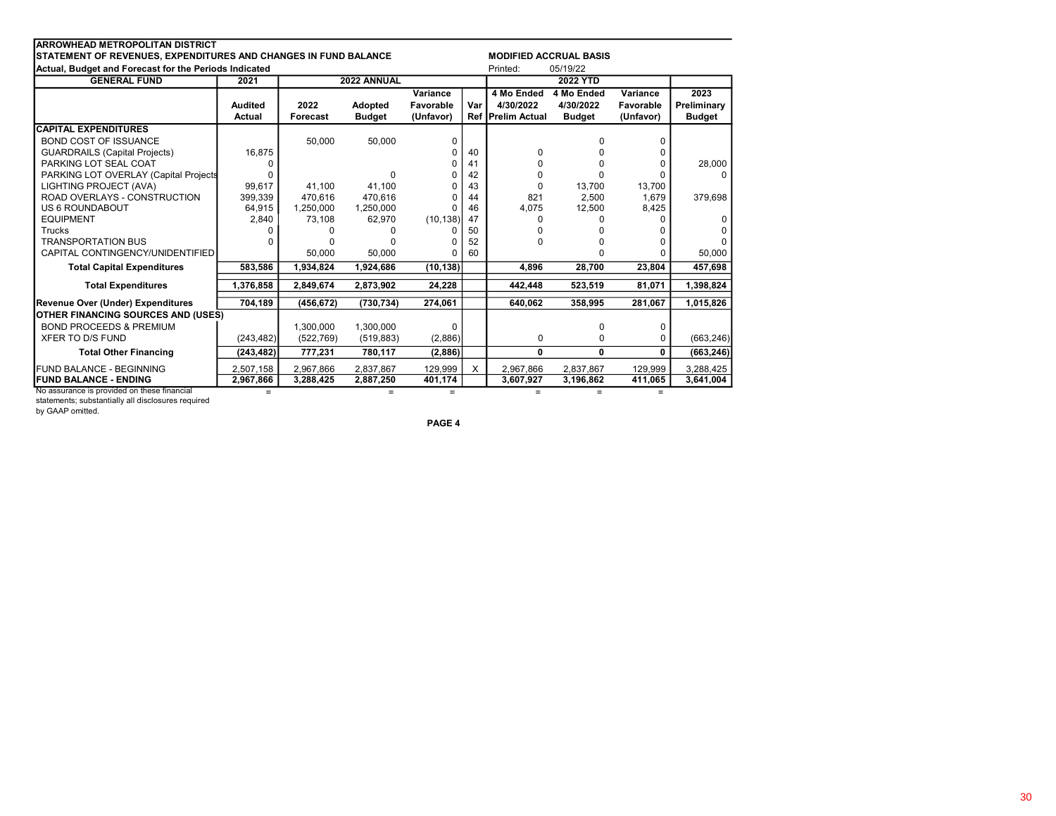#### ARROWHEAD METROPOLITAN DISTRICT

STATEMENT OF REVENUES, EXPENDITURES AND CHANGES IN FUND BALANCE MODIFIED ACCRUAL BASIS Actual, Budget and Forecast for the Periods Indicated **Printed:** Printed: 05/19/22

| <b>GENERAL FUND</b>                                                                               |                |            | 2022 ANNUAL    |           |     |                           | 2022 YTD      |           |               |
|---------------------------------------------------------------------------------------------------|----------------|------------|----------------|-----------|-----|---------------------------|---------------|-----------|---------------|
|                                                                                                   | 2021           |            |                |           |     |                           |               |           |               |
|                                                                                                   |                |            |                | Variance  |     | 4 Mo Ended                | 4 Mo Ended    | Variance  | 2023          |
|                                                                                                   | <b>Audited</b> | 2022       | <b>Adopted</b> | Favorable | Var | 4/30/2022                 | 4/30/2022     | Favorable | Preliminary   |
|                                                                                                   | <b>Actual</b>  | Forecast   | <b>Budget</b>  | (Unfavor) |     | <b>Ref IPrelim Actual</b> | <b>Budget</b> | (Unfavor) | <b>Budget</b> |
| <b>ICAPITAL EXPENDITURES</b>                                                                      |                |            |                |           |     |                           |               |           |               |
| <b>BOND COST OF ISSUANCE</b>                                                                      |                | 50.000     | 50,000         | U         |     |                           |               |           |               |
| <b>GUARDRAILS (Capital Projects)</b>                                                              | 16,875         |            |                |           | 40  |                           |               |           |               |
| PARKING LOT SEAL COAT                                                                             |                |            |                |           | 41  |                           |               |           | 28,000        |
| PARKING LOT OVERLAY (Capital Projects                                                             |                |            |                |           | 42  |                           |               |           |               |
| LIGHTING PROJECT (AVA)                                                                            | 99.617         | 41.100     | 41,100         |           | 43  |                           | 13,700        | 13,700    |               |
| ROAD OVERLAYS - CONSTRUCTION                                                                      | 399.339        | 470.616    | 470.616        |           | 44  | 821                       | 2.500         | 1,679     | 379,698       |
| <b>US 6 ROUNDABOUT</b>                                                                            | 64.915         | 1,250,000  | 1,250,000      |           | 46  | 4,075                     | 12,500        | 8,425     |               |
| <b>EQUIPMENT</b>                                                                                  | 2,840          | 73,108     | 62.970         | (10, 138) | 47  |                           |               |           |               |
| Trucks                                                                                            |                |            |                |           | 50  |                           |               |           |               |
| <b>TRANSPORTATION BUS</b>                                                                         |                |            |                |           | 52  | U                         |               |           |               |
| CAPITAL CONTINGENCY/UNIDENTIFIED                                                                  |                | 50.000     | 50.000         |           | 60  |                           |               |           | 50,000        |
| <b>Total Capital Expenditures</b>                                                                 | 583,586        | 1,934,824  | 1,924,686      | (10, 138) |     | 4,896                     | 28,700        | 23,804    | 457,698       |
| <b>Total Expenditures</b>                                                                         | 1,376,858      | 2,849,674  | 2,873,902      | 24,228    |     | 442,448                   | 523,519       | 81,071    | 1,398,824     |
|                                                                                                   |                |            |                |           |     |                           |               |           |               |
| Revenue Over (Under) Expenditures                                                                 | 704,189        | (456, 672) | (730, 734)     | 274,061   |     | 640,062                   | 358,995       | 281,067   | 1,015,826     |
| <b>OTHER FINANCING SOURCES AND (USES)</b>                                                         |                |            |                |           |     |                           |               |           |               |
| <b>BOND PROCEEDS &amp; PREMIUM</b>                                                                |                | 1,300,000  | 1,300,000      | U         |     |                           |               |           |               |
| <b>XFER TO D/S FUND</b>                                                                           | (243, 482)     | (522, 769) | (519, 883)     | (2,886)   |     | 0                         |               |           | (663, 246)    |
| <b>Total Other Financing</b>                                                                      | (243, 482)     | 777,231    | 780,117        | (2,886)   |     | 0                         | 0             | U         | (663, 246)    |
| FUND BALANCE - BEGINNING                                                                          | 2,507,158      | 2,967,866  | 2,837,867      | 129,999   | X   | 2,967,866                 | 2,837,867     | 129,999   | 3,288,425     |
| <b>IFUND BALANCE - ENDING</b>                                                                     | 2,967,866      | 3,288,425  | 2,887,250      | 401,174   |     | 3,607,927                 | 3,196,862     | 411,065   | 3,641,004     |
| No assurance is provided on these financial<br>statements; substantially all disclosures required |                |            |                |           |     |                           |               |           |               |

by GAAP omitted.

PAGE 4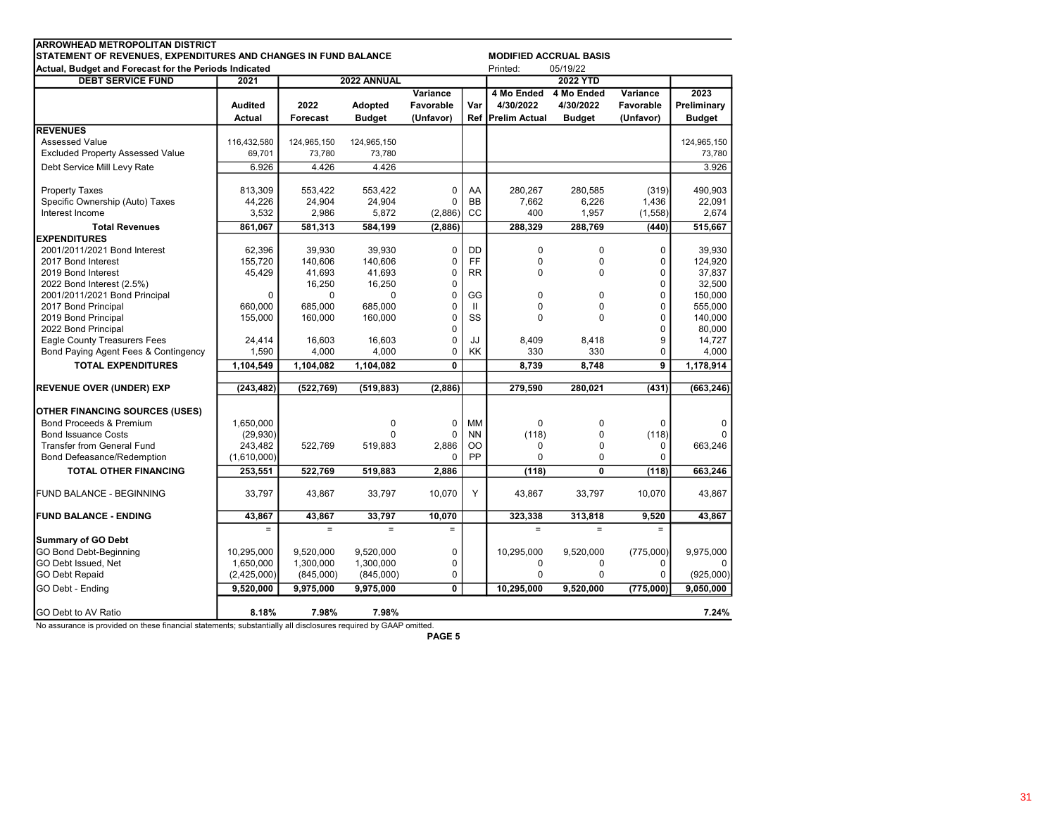| <b>MODIFIED ACCRUAL BASIS</b><br>Actual, Budget and Forecast for the Periods Indicated<br>Printed:<br>05/19/22<br><b>DEBT SERVICE FUND</b><br>2022 ANNUAL<br>2022 YTD<br>2021<br>2023<br>Variance<br>4 Mo Ended<br>4 Mo Ended<br>Variance<br>4/30/2022<br>4/30/2022<br><b>Audited</b><br>2022<br><b>Adopted</b><br>Favorable<br>Var<br>Favorable<br>Ref Prelim Actual<br>Actual<br><b>Forecast</b><br><b>Budget</b><br>(Unfavor)<br><b>Budget</b><br>(Unfavor)<br><b>Budget</b><br><b>REVENUES</b><br><b>Assessed Value</b><br>116.432.580<br>124,965,150<br>124,965,150<br><b>Excluded Property Assessed Value</b><br>69,701<br>73,780<br>73,780<br>6.926<br>4.426<br>4.426<br>Debt Service Mill Levy Rate<br><b>Property Taxes</b><br>813,309<br>553,422<br>553,422<br>$\Omega$<br>AA<br>280,267<br>280,585<br>(319)<br>Specific Ownership (Auto) Taxes<br>44,226<br><b>BB</b><br>1,436<br>24,904<br>24,904<br>$\Omega$<br>7,662<br>6,226<br><b>CC</b><br>Interest Income<br>5,872<br>(2,886)<br>400<br>1,957<br>3,532<br>2,986<br>(1,558)<br>(2,886)<br>861,067<br>581,313<br>584,199<br>288.329<br>288,769<br>(440)<br>515,667<br><b>Total Revenues</b><br><b>EXPENDITURES</b><br>2001/2011/2021 Bond Interest<br>DD<br>0<br>$\mathbf 0$<br>$\Omega$<br>62,396<br>39.930<br>39,930<br>$\Omega$<br>FF<br>$\mathbf 0$<br>$\mathbf 0$<br>2017 Bond Interest<br>155,720<br>140,606<br>140,606<br>0<br>0<br><b>RR</b><br>$\Omega$<br>$\Omega$<br>$\Omega$<br>$\Omega$<br>2019 Bond Interest<br>45,429<br>41,693<br>41,693<br>16,250<br>16,250<br>0<br>0<br>2022 Bond Interest (2.5%)<br>0<br>$\mathbf 0$<br>2001/2011/2021 Bond Principal<br>$\Omega$<br>$\Omega$<br>$\Omega$<br>GG<br>$\mathbf 0$<br>0<br>$\mathbf 0$<br>660,000<br>685,000<br>685,000<br>0<br>$\mathbf 0$<br>0<br>2017 Bond Principal<br>$\mathbf{I}$<br>SS<br>$\mathbf{0}$<br>$\mathbf{0}$<br>$\Omega$<br>$\mathbf{0}$<br>2019 Bond Principal<br>155,000<br>160,000<br>160,000<br>2022 Bond Principal<br>0<br>0<br>Eagle County Treasurers Fees<br>$\Omega$<br>JJ<br>9<br>24,414<br>16,603<br>16,603<br>8,409<br>8,418<br>Bond Paying Agent Fees & Contingency<br>1,590<br>4,000<br>0<br><b>KK</b><br>330<br>330<br>0<br>4,000<br>$\overline{\mathbf{0}}$<br>$\overline{9}$<br>1,104,549<br>8,739<br>8,748<br><b>TOTAL EXPENDITURES</b><br>1,104,082<br>1,104,082<br>(522, 769)<br>(519, 883)<br>280,021<br>(431)<br><b>REVENUE OVER (UNDER) EXP</b><br>(243, 482)<br>(2,886)<br>279,590<br><b>OTHER FINANCING SOURCES (USES)</b><br>Bond Proceeds & Premium<br>$\Omega$<br>$\mathbf 0$<br><b>MM</b><br>$\mathbf 0$<br>$\mathbf 0$<br>1,650,000<br>$\Omega$<br><b>Bond Issuance Costs</b><br>(118)<br>$\Omega$<br>(118)<br>(29, 930)<br>$\Omega$<br>$\Omega$<br><b>NN</b><br>663,246<br><b>Transfer from General Fund</b><br>243,482<br>522,769<br>519,883<br>2,886<br>OO<br>$\Omega$<br>$\mathbf 0$<br>0<br>PP<br>$\Omega$<br>$\mathbf 0$<br><b>Bond Defeasance/Redemption</b><br>(1,610,000)<br>$\Omega$<br>$\overline{0}$<br>(118)<br><b>TOTAL OTHER FINANCING</b><br>253,551<br>522,769<br>519,883<br>2,886<br>(118)<br>Y<br>FUND BALANCE - BEGINNING<br>33,797<br>43,867<br>33,797<br>10,070<br>43,867<br>33,797<br>10,070<br><b>FUND BALANCE - ENDING</b><br>43.867<br>43,867<br>33,797<br>10,070<br>323,338<br>313,818<br>9.520<br>$=$<br>$=$<br>$=$<br>$=$<br>$=$<br>$=$<br>$=$<br><b>Summary of GO Debt</b><br>$\mathbf 0$<br><b>GO Bond Debt-Beginning</b><br>10.295.000<br>9,520,000<br>9,520,000<br>10,295,000<br>9,520,000<br>(775,000)<br>1,300,000<br>0<br>GO Debt Issued, Net<br>1,650,000<br>1,300,000<br>0<br>0<br>$\Omega$<br><b>GO Debt Repaid</b><br>0<br>$\mathbf 0$<br>$\mathbf 0$<br>(2,425,000)<br>(845,000)<br>(845,000)<br>0<br>9,520,000<br>0<br>10,295,000<br>9.520.000<br>(775,000)<br>GO Debt - Ending<br>9,975,000<br>9,975,000 | <b>ARROWHEAD METROPOLITAN DISTRICT</b>                                 |       |       |       |  |  |  |  |  |             |
|-----------------------------------------------------------------------------------------------------------------------------------------------------------------------------------------------------------------------------------------------------------------------------------------------------------------------------------------------------------------------------------------------------------------------------------------------------------------------------------------------------------------------------------------------------------------------------------------------------------------------------------------------------------------------------------------------------------------------------------------------------------------------------------------------------------------------------------------------------------------------------------------------------------------------------------------------------------------------------------------------------------------------------------------------------------------------------------------------------------------------------------------------------------------------------------------------------------------------------------------------------------------------------------------------------------------------------------------------------------------------------------------------------------------------------------------------------------------------------------------------------------------------------------------------------------------------------------------------------------------------------------------------------------------------------------------------------------------------------------------------------------------------------------------------------------------------------------------------------------------------------------------------------------------------------------------------------------------------------------------------------------------------------------------------------------------------------------------------------------------------------------------------------------------------------------------------------------------------------------------------------------------------------------------------------------------------------------------------------------------------------------------------------------------------------------------------------------------------------------------------------------------------------------------------------------------------------------------------------------------------------------------------------------------------------------------------------------------------------------------------------------------------------------------------------------------------------------------------------------------------------------------------------------------------------------------------------------------------------------------------------------------------------------------------------------------------------------------------------------------------------------------------------------------------------------------------------------------------------------------------------------------------------------------------------------------------------------------------------------------------------------------------------------------------------------------------------------------------------------------------------------------------------------------------------------------------------------------------------------------------------------------------------------------------------------------------------------------------------------------------------------------------------------------------------------------------------------|------------------------------------------------------------------------|-------|-------|-------|--|--|--|--|--|-------------|
|                                                                                                                                                                                                                                                                                                                                                                                                                                                                                                                                                                                                                                                                                                                                                                                                                                                                                                                                                                                                                                                                                                                                                                                                                                                                                                                                                                                                                                                                                                                                                                                                                                                                                                                                                                                                                                                                                                                                                                                                                                                                                                                                                                                                                                                                                                                                                                                                                                                                                                                                                                                                                                                                                                                                                                                                                                                                                                                                                                                                                                                                                                                                                                                                                                                                                                                                                                                                                                                                                                                                                                                                                                                                                                                                                                                                                                   | <b>STATEMENT OF REVENUES, EXPENDITURES AND CHANGES IN FUND BALANCE</b> |       |       |       |  |  |  |  |  |             |
|                                                                                                                                                                                                                                                                                                                                                                                                                                                                                                                                                                                                                                                                                                                                                                                                                                                                                                                                                                                                                                                                                                                                                                                                                                                                                                                                                                                                                                                                                                                                                                                                                                                                                                                                                                                                                                                                                                                                                                                                                                                                                                                                                                                                                                                                                                                                                                                                                                                                                                                                                                                                                                                                                                                                                                                                                                                                                                                                                                                                                                                                                                                                                                                                                                                                                                                                                                                                                                                                                                                                                                                                                                                                                                                                                                                                                                   |                                                                        |       |       |       |  |  |  |  |  |             |
|                                                                                                                                                                                                                                                                                                                                                                                                                                                                                                                                                                                                                                                                                                                                                                                                                                                                                                                                                                                                                                                                                                                                                                                                                                                                                                                                                                                                                                                                                                                                                                                                                                                                                                                                                                                                                                                                                                                                                                                                                                                                                                                                                                                                                                                                                                                                                                                                                                                                                                                                                                                                                                                                                                                                                                                                                                                                                                                                                                                                                                                                                                                                                                                                                                                                                                                                                                                                                                                                                                                                                                                                                                                                                                                                                                                                                                   |                                                                        |       |       |       |  |  |  |  |  |             |
|                                                                                                                                                                                                                                                                                                                                                                                                                                                                                                                                                                                                                                                                                                                                                                                                                                                                                                                                                                                                                                                                                                                                                                                                                                                                                                                                                                                                                                                                                                                                                                                                                                                                                                                                                                                                                                                                                                                                                                                                                                                                                                                                                                                                                                                                                                                                                                                                                                                                                                                                                                                                                                                                                                                                                                                                                                                                                                                                                                                                                                                                                                                                                                                                                                                                                                                                                                                                                                                                                                                                                                                                                                                                                                                                                                                                                                   |                                                                        |       |       |       |  |  |  |  |  |             |
|                                                                                                                                                                                                                                                                                                                                                                                                                                                                                                                                                                                                                                                                                                                                                                                                                                                                                                                                                                                                                                                                                                                                                                                                                                                                                                                                                                                                                                                                                                                                                                                                                                                                                                                                                                                                                                                                                                                                                                                                                                                                                                                                                                                                                                                                                                                                                                                                                                                                                                                                                                                                                                                                                                                                                                                                                                                                                                                                                                                                                                                                                                                                                                                                                                                                                                                                                                                                                                                                                                                                                                                                                                                                                                                                                                                                                                   |                                                                        |       |       |       |  |  |  |  |  | Preliminary |
|                                                                                                                                                                                                                                                                                                                                                                                                                                                                                                                                                                                                                                                                                                                                                                                                                                                                                                                                                                                                                                                                                                                                                                                                                                                                                                                                                                                                                                                                                                                                                                                                                                                                                                                                                                                                                                                                                                                                                                                                                                                                                                                                                                                                                                                                                                                                                                                                                                                                                                                                                                                                                                                                                                                                                                                                                                                                                                                                                                                                                                                                                                                                                                                                                                                                                                                                                                                                                                                                                                                                                                                                                                                                                                                                                                                                                                   |                                                                        |       |       |       |  |  |  |  |  |             |
|                                                                                                                                                                                                                                                                                                                                                                                                                                                                                                                                                                                                                                                                                                                                                                                                                                                                                                                                                                                                                                                                                                                                                                                                                                                                                                                                                                                                                                                                                                                                                                                                                                                                                                                                                                                                                                                                                                                                                                                                                                                                                                                                                                                                                                                                                                                                                                                                                                                                                                                                                                                                                                                                                                                                                                                                                                                                                                                                                                                                                                                                                                                                                                                                                                                                                                                                                                                                                                                                                                                                                                                                                                                                                                                                                                                                                                   |                                                                        |       |       |       |  |  |  |  |  |             |
|                                                                                                                                                                                                                                                                                                                                                                                                                                                                                                                                                                                                                                                                                                                                                                                                                                                                                                                                                                                                                                                                                                                                                                                                                                                                                                                                                                                                                                                                                                                                                                                                                                                                                                                                                                                                                                                                                                                                                                                                                                                                                                                                                                                                                                                                                                                                                                                                                                                                                                                                                                                                                                                                                                                                                                                                                                                                                                                                                                                                                                                                                                                                                                                                                                                                                                                                                                                                                                                                                                                                                                                                                                                                                                                                                                                                                                   |                                                                        |       |       |       |  |  |  |  |  | 124,965,150 |
|                                                                                                                                                                                                                                                                                                                                                                                                                                                                                                                                                                                                                                                                                                                                                                                                                                                                                                                                                                                                                                                                                                                                                                                                                                                                                                                                                                                                                                                                                                                                                                                                                                                                                                                                                                                                                                                                                                                                                                                                                                                                                                                                                                                                                                                                                                                                                                                                                                                                                                                                                                                                                                                                                                                                                                                                                                                                                                                                                                                                                                                                                                                                                                                                                                                                                                                                                                                                                                                                                                                                                                                                                                                                                                                                                                                                                                   |                                                                        |       |       |       |  |  |  |  |  | 73,780      |
|                                                                                                                                                                                                                                                                                                                                                                                                                                                                                                                                                                                                                                                                                                                                                                                                                                                                                                                                                                                                                                                                                                                                                                                                                                                                                                                                                                                                                                                                                                                                                                                                                                                                                                                                                                                                                                                                                                                                                                                                                                                                                                                                                                                                                                                                                                                                                                                                                                                                                                                                                                                                                                                                                                                                                                                                                                                                                                                                                                                                                                                                                                                                                                                                                                                                                                                                                                                                                                                                                                                                                                                                                                                                                                                                                                                                                                   |                                                                        |       |       |       |  |  |  |  |  | 3.926       |
|                                                                                                                                                                                                                                                                                                                                                                                                                                                                                                                                                                                                                                                                                                                                                                                                                                                                                                                                                                                                                                                                                                                                                                                                                                                                                                                                                                                                                                                                                                                                                                                                                                                                                                                                                                                                                                                                                                                                                                                                                                                                                                                                                                                                                                                                                                                                                                                                                                                                                                                                                                                                                                                                                                                                                                                                                                                                                                                                                                                                                                                                                                                                                                                                                                                                                                                                                                                                                                                                                                                                                                                                                                                                                                                                                                                                                                   |                                                                        |       |       |       |  |  |  |  |  | 490.903     |
|                                                                                                                                                                                                                                                                                                                                                                                                                                                                                                                                                                                                                                                                                                                                                                                                                                                                                                                                                                                                                                                                                                                                                                                                                                                                                                                                                                                                                                                                                                                                                                                                                                                                                                                                                                                                                                                                                                                                                                                                                                                                                                                                                                                                                                                                                                                                                                                                                                                                                                                                                                                                                                                                                                                                                                                                                                                                                                                                                                                                                                                                                                                                                                                                                                                                                                                                                                                                                                                                                                                                                                                                                                                                                                                                                                                                                                   |                                                                        |       |       |       |  |  |  |  |  | 22,091      |
|                                                                                                                                                                                                                                                                                                                                                                                                                                                                                                                                                                                                                                                                                                                                                                                                                                                                                                                                                                                                                                                                                                                                                                                                                                                                                                                                                                                                                                                                                                                                                                                                                                                                                                                                                                                                                                                                                                                                                                                                                                                                                                                                                                                                                                                                                                                                                                                                                                                                                                                                                                                                                                                                                                                                                                                                                                                                                                                                                                                                                                                                                                                                                                                                                                                                                                                                                                                                                                                                                                                                                                                                                                                                                                                                                                                                                                   |                                                                        |       |       |       |  |  |  |  |  | 2,674       |
|                                                                                                                                                                                                                                                                                                                                                                                                                                                                                                                                                                                                                                                                                                                                                                                                                                                                                                                                                                                                                                                                                                                                                                                                                                                                                                                                                                                                                                                                                                                                                                                                                                                                                                                                                                                                                                                                                                                                                                                                                                                                                                                                                                                                                                                                                                                                                                                                                                                                                                                                                                                                                                                                                                                                                                                                                                                                                                                                                                                                                                                                                                                                                                                                                                                                                                                                                                                                                                                                                                                                                                                                                                                                                                                                                                                                                                   |                                                                        |       |       |       |  |  |  |  |  |             |
|                                                                                                                                                                                                                                                                                                                                                                                                                                                                                                                                                                                                                                                                                                                                                                                                                                                                                                                                                                                                                                                                                                                                                                                                                                                                                                                                                                                                                                                                                                                                                                                                                                                                                                                                                                                                                                                                                                                                                                                                                                                                                                                                                                                                                                                                                                                                                                                                                                                                                                                                                                                                                                                                                                                                                                                                                                                                                                                                                                                                                                                                                                                                                                                                                                                                                                                                                                                                                                                                                                                                                                                                                                                                                                                                                                                                                                   |                                                                        |       |       |       |  |  |  |  |  |             |
|                                                                                                                                                                                                                                                                                                                                                                                                                                                                                                                                                                                                                                                                                                                                                                                                                                                                                                                                                                                                                                                                                                                                                                                                                                                                                                                                                                                                                                                                                                                                                                                                                                                                                                                                                                                                                                                                                                                                                                                                                                                                                                                                                                                                                                                                                                                                                                                                                                                                                                                                                                                                                                                                                                                                                                                                                                                                                                                                                                                                                                                                                                                                                                                                                                                                                                                                                                                                                                                                                                                                                                                                                                                                                                                                                                                                                                   |                                                                        |       |       |       |  |  |  |  |  | 39,930      |
|                                                                                                                                                                                                                                                                                                                                                                                                                                                                                                                                                                                                                                                                                                                                                                                                                                                                                                                                                                                                                                                                                                                                                                                                                                                                                                                                                                                                                                                                                                                                                                                                                                                                                                                                                                                                                                                                                                                                                                                                                                                                                                                                                                                                                                                                                                                                                                                                                                                                                                                                                                                                                                                                                                                                                                                                                                                                                                                                                                                                                                                                                                                                                                                                                                                                                                                                                                                                                                                                                                                                                                                                                                                                                                                                                                                                                                   |                                                                        |       |       |       |  |  |  |  |  | 124,920     |
|                                                                                                                                                                                                                                                                                                                                                                                                                                                                                                                                                                                                                                                                                                                                                                                                                                                                                                                                                                                                                                                                                                                                                                                                                                                                                                                                                                                                                                                                                                                                                                                                                                                                                                                                                                                                                                                                                                                                                                                                                                                                                                                                                                                                                                                                                                                                                                                                                                                                                                                                                                                                                                                                                                                                                                                                                                                                                                                                                                                                                                                                                                                                                                                                                                                                                                                                                                                                                                                                                                                                                                                                                                                                                                                                                                                                                                   |                                                                        |       |       |       |  |  |  |  |  | 37,837      |
|                                                                                                                                                                                                                                                                                                                                                                                                                                                                                                                                                                                                                                                                                                                                                                                                                                                                                                                                                                                                                                                                                                                                                                                                                                                                                                                                                                                                                                                                                                                                                                                                                                                                                                                                                                                                                                                                                                                                                                                                                                                                                                                                                                                                                                                                                                                                                                                                                                                                                                                                                                                                                                                                                                                                                                                                                                                                                                                                                                                                                                                                                                                                                                                                                                                                                                                                                                                                                                                                                                                                                                                                                                                                                                                                                                                                                                   |                                                                        |       |       |       |  |  |  |  |  | 32,500      |
|                                                                                                                                                                                                                                                                                                                                                                                                                                                                                                                                                                                                                                                                                                                                                                                                                                                                                                                                                                                                                                                                                                                                                                                                                                                                                                                                                                                                                                                                                                                                                                                                                                                                                                                                                                                                                                                                                                                                                                                                                                                                                                                                                                                                                                                                                                                                                                                                                                                                                                                                                                                                                                                                                                                                                                                                                                                                                                                                                                                                                                                                                                                                                                                                                                                                                                                                                                                                                                                                                                                                                                                                                                                                                                                                                                                                                                   |                                                                        |       |       |       |  |  |  |  |  | 150,000     |
|                                                                                                                                                                                                                                                                                                                                                                                                                                                                                                                                                                                                                                                                                                                                                                                                                                                                                                                                                                                                                                                                                                                                                                                                                                                                                                                                                                                                                                                                                                                                                                                                                                                                                                                                                                                                                                                                                                                                                                                                                                                                                                                                                                                                                                                                                                                                                                                                                                                                                                                                                                                                                                                                                                                                                                                                                                                                                                                                                                                                                                                                                                                                                                                                                                                                                                                                                                                                                                                                                                                                                                                                                                                                                                                                                                                                                                   |                                                                        |       |       |       |  |  |  |  |  | 555,000     |
|                                                                                                                                                                                                                                                                                                                                                                                                                                                                                                                                                                                                                                                                                                                                                                                                                                                                                                                                                                                                                                                                                                                                                                                                                                                                                                                                                                                                                                                                                                                                                                                                                                                                                                                                                                                                                                                                                                                                                                                                                                                                                                                                                                                                                                                                                                                                                                                                                                                                                                                                                                                                                                                                                                                                                                                                                                                                                                                                                                                                                                                                                                                                                                                                                                                                                                                                                                                                                                                                                                                                                                                                                                                                                                                                                                                                                                   |                                                                        |       |       |       |  |  |  |  |  | 140,000     |
|                                                                                                                                                                                                                                                                                                                                                                                                                                                                                                                                                                                                                                                                                                                                                                                                                                                                                                                                                                                                                                                                                                                                                                                                                                                                                                                                                                                                                                                                                                                                                                                                                                                                                                                                                                                                                                                                                                                                                                                                                                                                                                                                                                                                                                                                                                                                                                                                                                                                                                                                                                                                                                                                                                                                                                                                                                                                                                                                                                                                                                                                                                                                                                                                                                                                                                                                                                                                                                                                                                                                                                                                                                                                                                                                                                                                                                   |                                                                        |       |       |       |  |  |  |  |  | 80,000      |
|                                                                                                                                                                                                                                                                                                                                                                                                                                                                                                                                                                                                                                                                                                                                                                                                                                                                                                                                                                                                                                                                                                                                                                                                                                                                                                                                                                                                                                                                                                                                                                                                                                                                                                                                                                                                                                                                                                                                                                                                                                                                                                                                                                                                                                                                                                                                                                                                                                                                                                                                                                                                                                                                                                                                                                                                                                                                                                                                                                                                                                                                                                                                                                                                                                                                                                                                                                                                                                                                                                                                                                                                                                                                                                                                                                                                                                   |                                                                        |       |       |       |  |  |  |  |  | 14,727      |
|                                                                                                                                                                                                                                                                                                                                                                                                                                                                                                                                                                                                                                                                                                                                                                                                                                                                                                                                                                                                                                                                                                                                                                                                                                                                                                                                                                                                                                                                                                                                                                                                                                                                                                                                                                                                                                                                                                                                                                                                                                                                                                                                                                                                                                                                                                                                                                                                                                                                                                                                                                                                                                                                                                                                                                                                                                                                                                                                                                                                                                                                                                                                                                                                                                                                                                                                                                                                                                                                                                                                                                                                                                                                                                                                                                                                                                   |                                                                        |       |       |       |  |  |  |  |  | 4,000       |
|                                                                                                                                                                                                                                                                                                                                                                                                                                                                                                                                                                                                                                                                                                                                                                                                                                                                                                                                                                                                                                                                                                                                                                                                                                                                                                                                                                                                                                                                                                                                                                                                                                                                                                                                                                                                                                                                                                                                                                                                                                                                                                                                                                                                                                                                                                                                                                                                                                                                                                                                                                                                                                                                                                                                                                                                                                                                                                                                                                                                                                                                                                                                                                                                                                                                                                                                                                                                                                                                                                                                                                                                                                                                                                                                                                                                                                   |                                                                        |       |       |       |  |  |  |  |  | 1,178,914   |
|                                                                                                                                                                                                                                                                                                                                                                                                                                                                                                                                                                                                                                                                                                                                                                                                                                                                                                                                                                                                                                                                                                                                                                                                                                                                                                                                                                                                                                                                                                                                                                                                                                                                                                                                                                                                                                                                                                                                                                                                                                                                                                                                                                                                                                                                                                                                                                                                                                                                                                                                                                                                                                                                                                                                                                                                                                                                                                                                                                                                                                                                                                                                                                                                                                                                                                                                                                                                                                                                                                                                                                                                                                                                                                                                                                                                                                   |                                                                        |       |       |       |  |  |  |  |  | (663, 246)  |
|                                                                                                                                                                                                                                                                                                                                                                                                                                                                                                                                                                                                                                                                                                                                                                                                                                                                                                                                                                                                                                                                                                                                                                                                                                                                                                                                                                                                                                                                                                                                                                                                                                                                                                                                                                                                                                                                                                                                                                                                                                                                                                                                                                                                                                                                                                                                                                                                                                                                                                                                                                                                                                                                                                                                                                                                                                                                                                                                                                                                                                                                                                                                                                                                                                                                                                                                                                                                                                                                                                                                                                                                                                                                                                                                                                                                                                   |                                                                        |       |       |       |  |  |  |  |  |             |
|                                                                                                                                                                                                                                                                                                                                                                                                                                                                                                                                                                                                                                                                                                                                                                                                                                                                                                                                                                                                                                                                                                                                                                                                                                                                                                                                                                                                                                                                                                                                                                                                                                                                                                                                                                                                                                                                                                                                                                                                                                                                                                                                                                                                                                                                                                                                                                                                                                                                                                                                                                                                                                                                                                                                                                                                                                                                                                                                                                                                                                                                                                                                                                                                                                                                                                                                                                                                                                                                                                                                                                                                                                                                                                                                                                                                                                   |                                                                        |       |       |       |  |  |  |  |  |             |
|                                                                                                                                                                                                                                                                                                                                                                                                                                                                                                                                                                                                                                                                                                                                                                                                                                                                                                                                                                                                                                                                                                                                                                                                                                                                                                                                                                                                                                                                                                                                                                                                                                                                                                                                                                                                                                                                                                                                                                                                                                                                                                                                                                                                                                                                                                                                                                                                                                                                                                                                                                                                                                                                                                                                                                                                                                                                                                                                                                                                                                                                                                                                                                                                                                                                                                                                                                                                                                                                                                                                                                                                                                                                                                                                                                                                                                   |                                                                        |       |       |       |  |  |  |  |  | $\Omega$    |
|                                                                                                                                                                                                                                                                                                                                                                                                                                                                                                                                                                                                                                                                                                                                                                                                                                                                                                                                                                                                                                                                                                                                                                                                                                                                                                                                                                                                                                                                                                                                                                                                                                                                                                                                                                                                                                                                                                                                                                                                                                                                                                                                                                                                                                                                                                                                                                                                                                                                                                                                                                                                                                                                                                                                                                                                                                                                                                                                                                                                                                                                                                                                                                                                                                                                                                                                                                                                                                                                                                                                                                                                                                                                                                                                                                                                                                   |                                                                        |       |       |       |  |  |  |  |  | 0           |
|                                                                                                                                                                                                                                                                                                                                                                                                                                                                                                                                                                                                                                                                                                                                                                                                                                                                                                                                                                                                                                                                                                                                                                                                                                                                                                                                                                                                                                                                                                                                                                                                                                                                                                                                                                                                                                                                                                                                                                                                                                                                                                                                                                                                                                                                                                                                                                                                                                                                                                                                                                                                                                                                                                                                                                                                                                                                                                                                                                                                                                                                                                                                                                                                                                                                                                                                                                                                                                                                                                                                                                                                                                                                                                                                                                                                                                   |                                                                        |       |       |       |  |  |  |  |  |             |
|                                                                                                                                                                                                                                                                                                                                                                                                                                                                                                                                                                                                                                                                                                                                                                                                                                                                                                                                                                                                                                                                                                                                                                                                                                                                                                                                                                                                                                                                                                                                                                                                                                                                                                                                                                                                                                                                                                                                                                                                                                                                                                                                                                                                                                                                                                                                                                                                                                                                                                                                                                                                                                                                                                                                                                                                                                                                                                                                                                                                                                                                                                                                                                                                                                                                                                                                                                                                                                                                                                                                                                                                                                                                                                                                                                                                                                   |                                                                        |       |       |       |  |  |  |  |  |             |
|                                                                                                                                                                                                                                                                                                                                                                                                                                                                                                                                                                                                                                                                                                                                                                                                                                                                                                                                                                                                                                                                                                                                                                                                                                                                                                                                                                                                                                                                                                                                                                                                                                                                                                                                                                                                                                                                                                                                                                                                                                                                                                                                                                                                                                                                                                                                                                                                                                                                                                                                                                                                                                                                                                                                                                                                                                                                                                                                                                                                                                                                                                                                                                                                                                                                                                                                                                                                                                                                                                                                                                                                                                                                                                                                                                                                                                   |                                                                        |       |       |       |  |  |  |  |  | 663,246     |
|                                                                                                                                                                                                                                                                                                                                                                                                                                                                                                                                                                                                                                                                                                                                                                                                                                                                                                                                                                                                                                                                                                                                                                                                                                                                                                                                                                                                                                                                                                                                                                                                                                                                                                                                                                                                                                                                                                                                                                                                                                                                                                                                                                                                                                                                                                                                                                                                                                                                                                                                                                                                                                                                                                                                                                                                                                                                                                                                                                                                                                                                                                                                                                                                                                                                                                                                                                                                                                                                                                                                                                                                                                                                                                                                                                                                                                   |                                                                        |       |       |       |  |  |  |  |  | 43,867      |
|                                                                                                                                                                                                                                                                                                                                                                                                                                                                                                                                                                                                                                                                                                                                                                                                                                                                                                                                                                                                                                                                                                                                                                                                                                                                                                                                                                                                                                                                                                                                                                                                                                                                                                                                                                                                                                                                                                                                                                                                                                                                                                                                                                                                                                                                                                                                                                                                                                                                                                                                                                                                                                                                                                                                                                                                                                                                                                                                                                                                                                                                                                                                                                                                                                                                                                                                                                                                                                                                                                                                                                                                                                                                                                                                                                                                                                   |                                                                        |       |       |       |  |  |  |  |  | 43,867      |
|                                                                                                                                                                                                                                                                                                                                                                                                                                                                                                                                                                                                                                                                                                                                                                                                                                                                                                                                                                                                                                                                                                                                                                                                                                                                                                                                                                                                                                                                                                                                                                                                                                                                                                                                                                                                                                                                                                                                                                                                                                                                                                                                                                                                                                                                                                                                                                                                                                                                                                                                                                                                                                                                                                                                                                                                                                                                                                                                                                                                                                                                                                                                                                                                                                                                                                                                                                                                                                                                                                                                                                                                                                                                                                                                                                                                                                   |                                                                        |       |       |       |  |  |  |  |  |             |
|                                                                                                                                                                                                                                                                                                                                                                                                                                                                                                                                                                                                                                                                                                                                                                                                                                                                                                                                                                                                                                                                                                                                                                                                                                                                                                                                                                                                                                                                                                                                                                                                                                                                                                                                                                                                                                                                                                                                                                                                                                                                                                                                                                                                                                                                                                                                                                                                                                                                                                                                                                                                                                                                                                                                                                                                                                                                                                                                                                                                                                                                                                                                                                                                                                                                                                                                                                                                                                                                                                                                                                                                                                                                                                                                                                                                                                   |                                                                        |       |       |       |  |  |  |  |  |             |
|                                                                                                                                                                                                                                                                                                                                                                                                                                                                                                                                                                                                                                                                                                                                                                                                                                                                                                                                                                                                                                                                                                                                                                                                                                                                                                                                                                                                                                                                                                                                                                                                                                                                                                                                                                                                                                                                                                                                                                                                                                                                                                                                                                                                                                                                                                                                                                                                                                                                                                                                                                                                                                                                                                                                                                                                                                                                                                                                                                                                                                                                                                                                                                                                                                                                                                                                                                                                                                                                                                                                                                                                                                                                                                                                                                                                                                   |                                                                        |       |       |       |  |  |  |  |  | 9,975,000   |
|                                                                                                                                                                                                                                                                                                                                                                                                                                                                                                                                                                                                                                                                                                                                                                                                                                                                                                                                                                                                                                                                                                                                                                                                                                                                                                                                                                                                                                                                                                                                                                                                                                                                                                                                                                                                                                                                                                                                                                                                                                                                                                                                                                                                                                                                                                                                                                                                                                                                                                                                                                                                                                                                                                                                                                                                                                                                                                                                                                                                                                                                                                                                                                                                                                                                                                                                                                                                                                                                                                                                                                                                                                                                                                                                                                                                                                   |                                                                        |       |       |       |  |  |  |  |  |             |
|                                                                                                                                                                                                                                                                                                                                                                                                                                                                                                                                                                                                                                                                                                                                                                                                                                                                                                                                                                                                                                                                                                                                                                                                                                                                                                                                                                                                                                                                                                                                                                                                                                                                                                                                                                                                                                                                                                                                                                                                                                                                                                                                                                                                                                                                                                                                                                                                                                                                                                                                                                                                                                                                                                                                                                                                                                                                                                                                                                                                                                                                                                                                                                                                                                                                                                                                                                                                                                                                                                                                                                                                                                                                                                                                                                                                                                   |                                                                        |       |       |       |  |  |  |  |  | (925,000)   |
|                                                                                                                                                                                                                                                                                                                                                                                                                                                                                                                                                                                                                                                                                                                                                                                                                                                                                                                                                                                                                                                                                                                                                                                                                                                                                                                                                                                                                                                                                                                                                                                                                                                                                                                                                                                                                                                                                                                                                                                                                                                                                                                                                                                                                                                                                                                                                                                                                                                                                                                                                                                                                                                                                                                                                                                                                                                                                                                                                                                                                                                                                                                                                                                                                                                                                                                                                                                                                                                                                                                                                                                                                                                                                                                                                                                                                                   |                                                                        |       |       |       |  |  |  |  |  | 9,050,000   |
|                                                                                                                                                                                                                                                                                                                                                                                                                                                                                                                                                                                                                                                                                                                                                                                                                                                                                                                                                                                                                                                                                                                                                                                                                                                                                                                                                                                                                                                                                                                                                                                                                                                                                                                                                                                                                                                                                                                                                                                                                                                                                                                                                                                                                                                                                                                                                                                                                                                                                                                                                                                                                                                                                                                                                                                                                                                                                                                                                                                                                                                                                                                                                                                                                                                                                                                                                                                                                                                                                                                                                                                                                                                                                                                                                                                                                                   | GO Debt to AV Ratio                                                    | 8.18% | 7.98% | 7.98% |  |  |  |  |  | 7.24%       |

No assurance is provided on these financial statements; substantially all disclosures required by GAAP omitted.

PAGE 5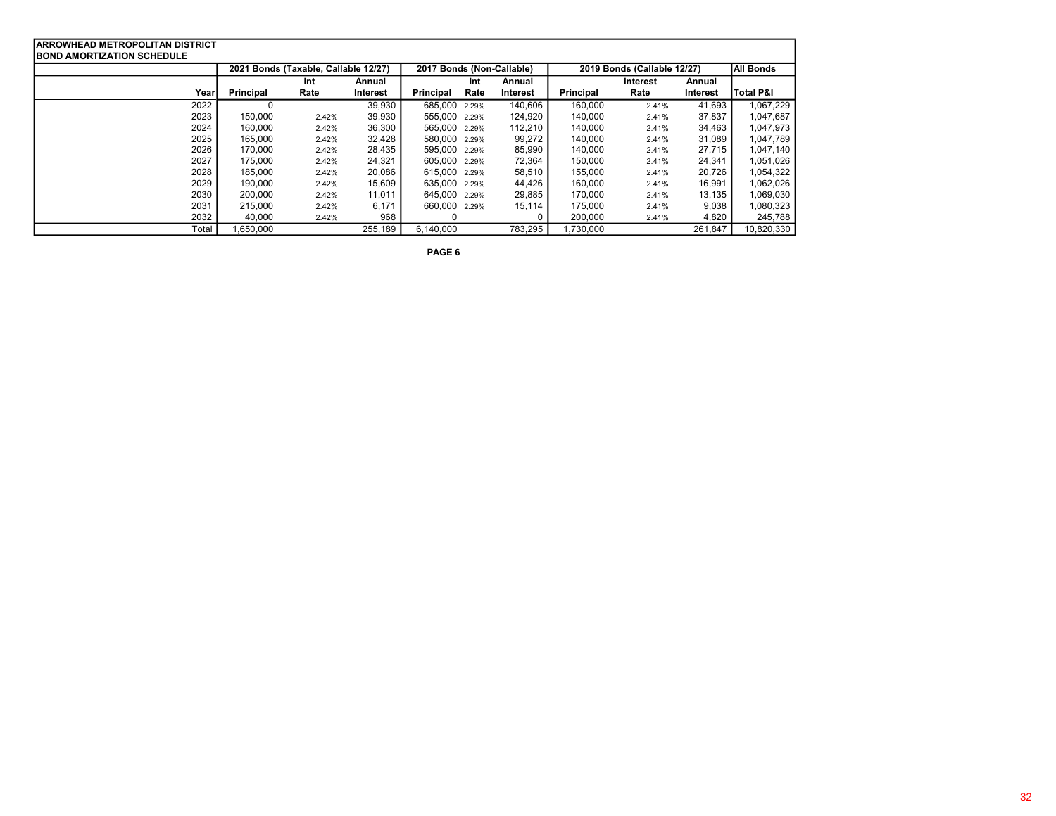| <b>IBOND AMORTIZATION SCHEDULE</b> |           | 2021 Bonds (Taxable, Callable 12/27)<br>2017 Bonds (Non-Callable) |          |               | 2019 Bonds (Callable 12/27) |          | <b>All Bonds</b> |          |          |            |
|------------------------------------|-----------|-------------------------------------------------------------------|----------|---------------|-----------------------------|----------|------------------|----------|----------|------------|
|                                    |           | Int                                                               | Annual   |               | Int                         | Annual   |                  | Interest | Annual   |            |
| Year                               | Principal | Rate                                                              | Interest | Principal     | Rate                        | Interest | <b>Principal</b> | Rate     | Interest | lTotal P&I |
| 2022                               | 0         |                                                                   | 39,930   | 685.000       | 2.29%                       | 140,606  | 160.000          | 2.41%    | 41,693   | 1,067,229  |
| 2023                               | 150.000   | 2.42%                                                             | 39,930   | 555.000       | 2.29%                       | 124,920  | 140.000          | 2.41%    | 37,837   | 1,047,687  |
| 2024                               | 160.000   | 2.42%                                                             | 36,300   | 565.000       | 2.29%                       | 112,210  | 140,000          | 2.41%    | 34,463   | 1,047,973  |
| 2025                               | 165,000   | 2.42%                                                             | 32,428   | 580.000 2.29% |                             | 99,272   | 140,000          | 2.41%    | 31,089   | 1,047,789  |
| 2026                               | 170,000   | 2.42%                                                             | 28,435   | 595.000 2.29% |                             | 85,990   | 140.000          | 2.41%    | 27.715   | 1,047,140  |
| 2027                               | 175,000   | 2.42%                                                             | 24,321   | 605.000 2.29% |                             | 72,364   | 150,000          | 2.41%    | 24,341   | 1,051,026  |
| 2028                               | 185.000   | 2.42%                                                             | 20,086   | 615.000 2.29% |                             | 58,510   | 155,000          | 2.41%    | 20,726   | 1,054,322  |
| 2029                               | 190.000   | 2.42%                                                             | 15,609   | 635.000 2.29% |                             | 44,426   | 160,000          | 2.41%    | 16,991   | 1,062,026  |
| 2030                               | 200,000   | 2.42%                                                             | 11,011   | 645.000 2.29% |                             | 29,885   | 170,000          | 2.41%    | 13,135   | 1,069,030  |
| 2031                               | 215,000   | 2.42%                                                             | 6,171    | 660.000 2.29% |                             | 15,114   | 175.000          | 2.41%    | 9,038    | 1,080,323  |
| 2032                               | 40,000    | 2.42%                                                             | 968      | 0             |                             |          | 200,000          | 2.41%    | 4,820    | 245,788    |
| Total                              | 000,050 ا |                                                                   | 255,189  | 6.140.000     |                             | 783,295  | 1.730.000        |          | 261,847  | 10,820,330 |

PAGE 6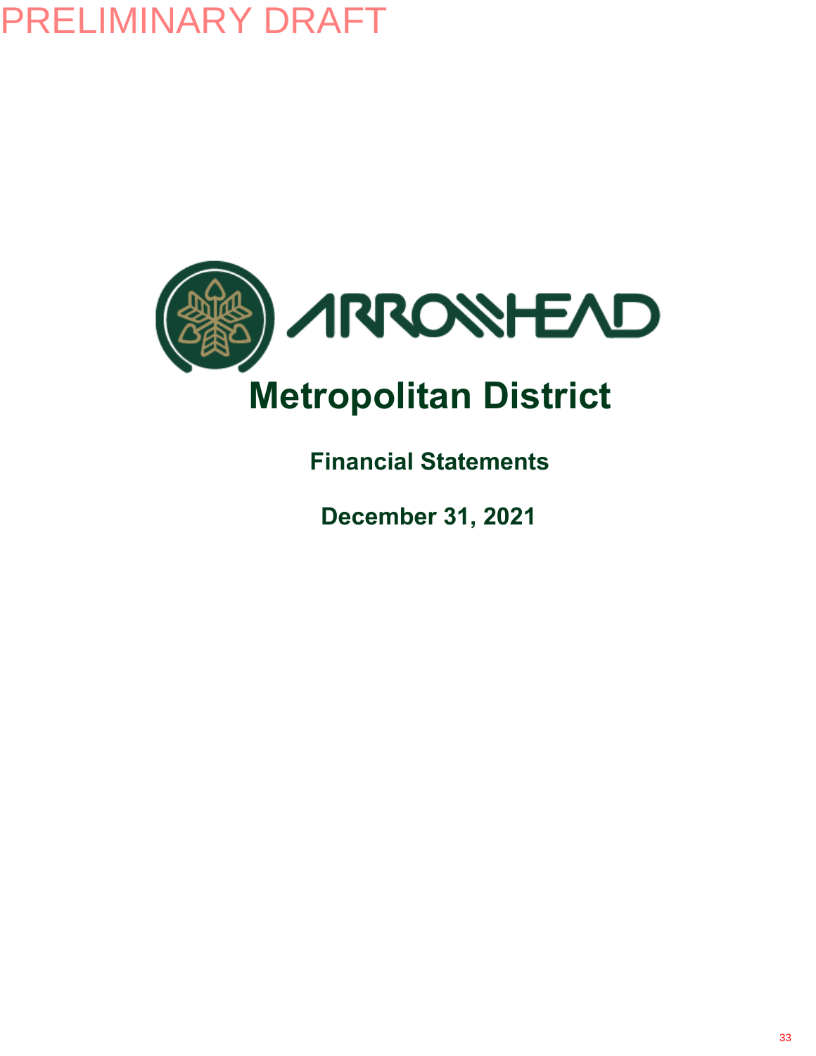

 **Financial Statements**

**December 31, 2021**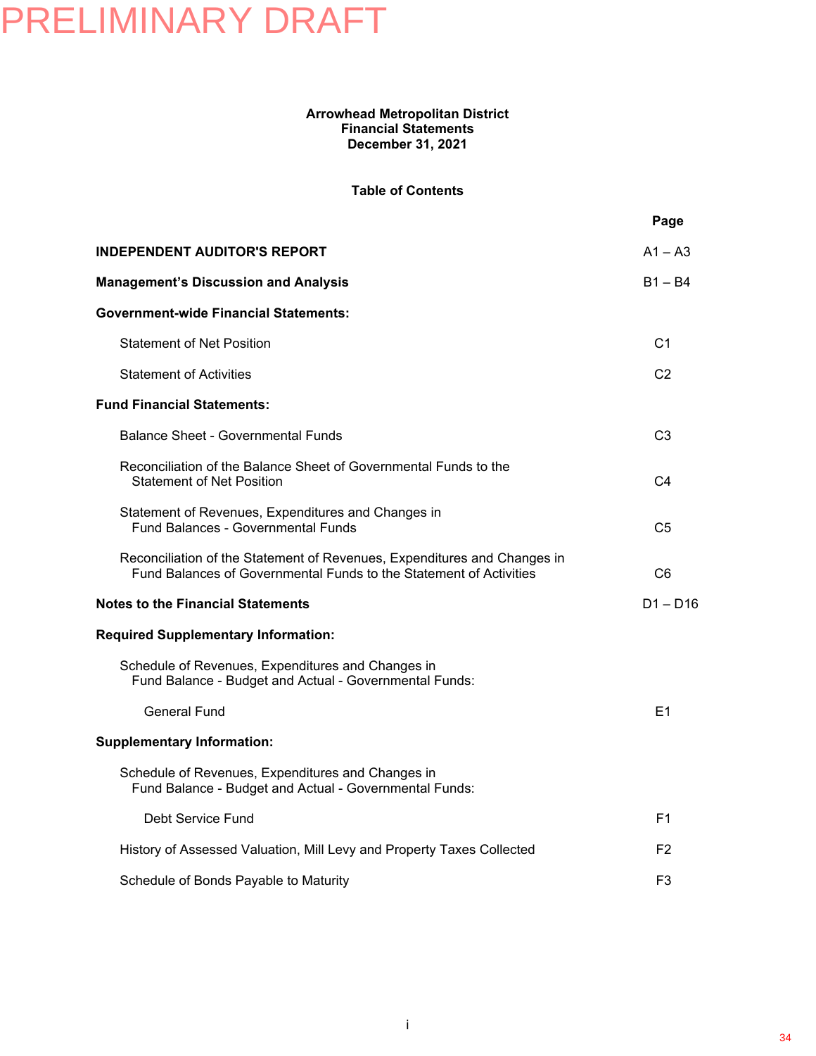#### **Arrowhead Metropolitan District Financial Statements December 31, 2021**

#### **Table of Contents**

|                                                                                                                                                | Page           |
|------------------------------------------------------------------------------------------------------------------------------------------------|----------------|
| <b>INDEPENDENT AUDITOR'S REPORT</b>                                                                                                            | $A1 - A3$      |
| <b>Management's Discussion and Analysis</b>                                                                                                    | $B1 - B4$      |
| <b>Government-wide Financial Statements:</b>                                                                                                   |                |
| <b>Statement of Net Position</b>                                                                                                               | C <sub>1</sub> |
| <b>Statement of Activities</b>                                                                                                                 | C <sub>2</sub> |
| <b>Fund Financial Statements:</b>                                                                                                              |                |
| Balance Sheet - Governmental Funds                                                                                                             | C <sub>3</sub> |
| Reconciliation of the Balance Sheet of Governmental Funds to the<br><b>Statement of Net Position</b>                                           | C4             |
| Statement of Revenues, Expenditures and Changes in<br><b>Fund Balances - Governmental Funds</b>                                                | C5             |
| Reconciliation of the Statement of Revenues, Expenditures and Changes in<br>Fund Balances of Governmental Funds to the Statement of Activities | C6             |
| <b>Notes to the Financial Statements</b>                                                                                                       | $D1 - D16$     |
| <b>Required Supplementary Information:</b>                                                                                                     |                |
| Schedule of Revenues, Expenditures and Changes in<br>Fund Balance - Budget and Actual - Governmental Funds:                                    |                |
| General Fund                                                                                                                                   | E <sub>1</sub> |
| <b>Supplementary Information:</b>                                                                                                              |                |
| Schedule of Revenues, Expenditures and Changes in<br>Fund Balance - Budget and Actual - Governmental Funds:                                    |                |
| Debt Service Fund                                                                                                                              | F1             |
| History of Assessed Valuation, Mill Levy and Property Taxes Collected                                                                          | F <sub>2</sub> |
| Schedule of Bonds Payable to Maturity                                                                                                          | F3             |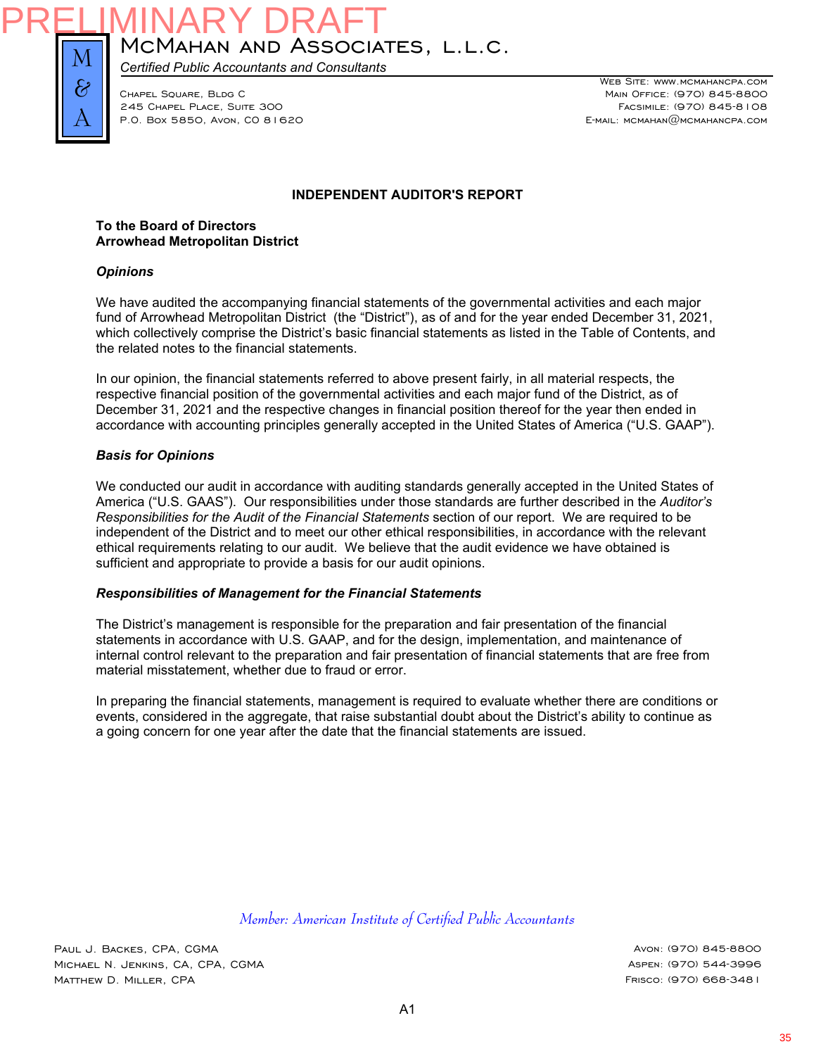MCMAHAN AND ASSOCIATES, L.L.C. PRELIMINARY DRAFT

*Certified Public Accountants and Consultants*

245 Chapel Place, Suite 300 Facsimile: (970) 845-8108 P.O. Box 5850, Avon, CO 81620

WEB SITE: WWW.MCMAHANCPA.COM Chapel Square, Bldg C Main Office: (970) 845-8800

#### **INDEPENDENT AUDITOR'S REPORT**

#### **To the Board of Directors Arrowhead Metropolitan District**

#### *Opinions*

We have audited the accompanying financial statements of the governmental activities and each major fund of Arrowhead Metropolitan District (the "District"), as of and for the year ended December 31, 2021, which collectively comprise the District's basic financial statements as listed in the Table of Contents, and the related notes to the financial statements.

In our opinion, the financial statements referred to above present fairly, in all material respects, the respective financial position of the governmental activities and each major fund of the District, as of December 31, 2021 and the respective changes in financial position thereof for the year then ended in accordance with accounting principles generally accepted in the United States of America ("U.S. GAAP").

#### *Basis for Opinions*

We conducted our audit in accordance with auditing standards generally accepted in the United States of America ("U.S. GAAS"). Our responsibilities under those standards are further described in the *Auditor's Responsibilities for the Audit of the Financial Statements* section of our report. We are required to be independent of the District and to meet our other ethical responsibilities, in accordance with the relevant ethical requirements relating to our audit. We believe that the audit evidence we have obtained is sufficient and appropriate to provide a basis for our audit opinions.

#### *Responsibilities of Management for the Financial Statements*

The District's management is responsible for the preparation and fair presentation of the financial statements in accordance with U.S. GAAP, and for the design, implementation, and maintenance of internal control relevant to the preparation and fair presentation of financial statements that are free from material misstatement, whether due to fraud or error.

In preparing the financial statements, management is required to evaluate whether there are conditions or events, considered in the aggregate, that raise substantial doubt about the District's ability to continue as a going concern for one year after the date that the financial statements are issued.

*Member: American Institute of Certified Public Accountants*

Paul J. Backes, CPA, CGMA Avon: (970) 845-8800 Michael N. Jenkins, CA, CPA, CGMA Aspen: (970) 544-3996 MATTHEW D. MILLER, CPA Frisco: (970) 668-3481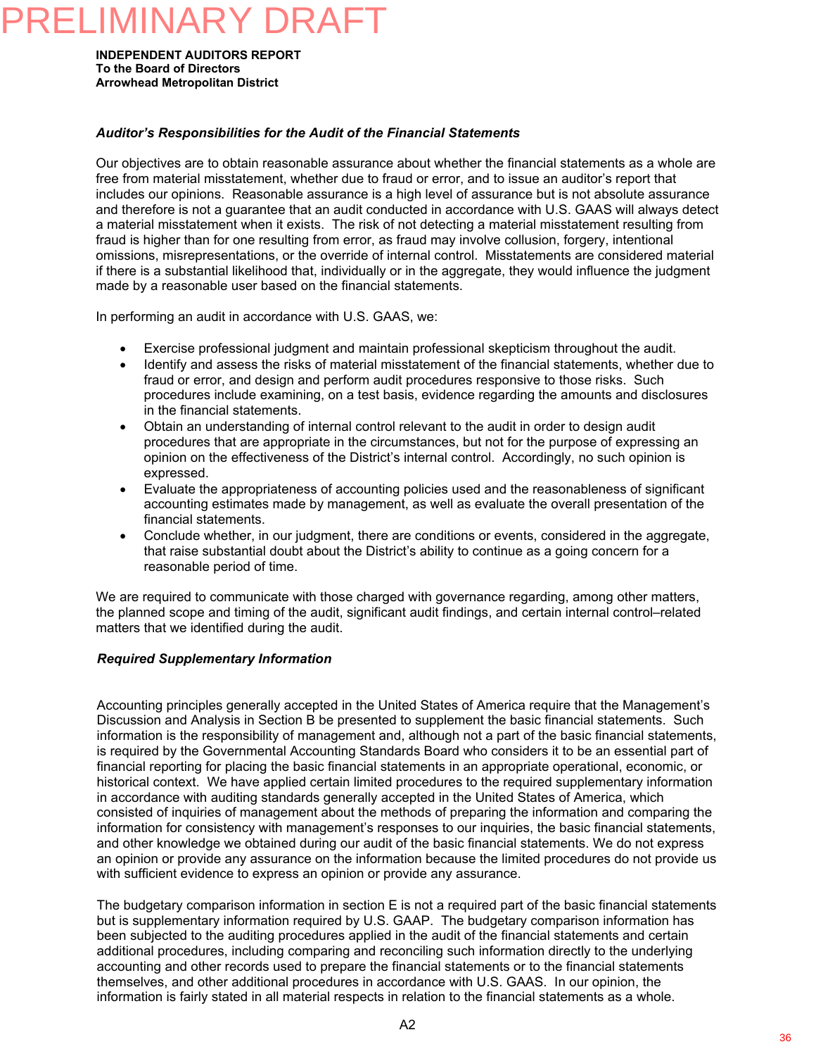### FI IMINARY

**INDEPENDENT AUDITORS REPORT To the Board of Directors Arrowhead Metropolitan District**

#### *Auditor's Responsibilities for the Audit of the Financial Statements*

Our objectives are to obtain reasonable assurance about whether the financial statements as a whole are free from material misstatement, whether due to fraud or error, and to issue an auditor's report that includes our opinions. Reasonable assurance is a high level of assurance but is not absolute assurance and therefore is not a guarantee that an audit conducted in accordance with U.S. GAAS will always detect a material misstatement when it exists. The risk of not detecting a material misstatement resulting from fraud is higher than for one resulting from error, as fraud may involve collusion, forgery, intentional omissions, misrepresentations, or the override of internal control. Misstatements are considered material if there is a substantial likelihood that, individually or in the aggregate, they would influence the judgment made by a reasonable user based on the financial statements.

In performing an audit in accordance with U.S. GAAS, we:

- Exercise professional judgment and maintain professional skepticism throughout the audit.
- Identify and assess the risks of material misstatement of the financial statements, whether due to fraud or error, and design and perform audit procedures responsive to those risks. Such procedures include examining, on a test basis, evidence regarding the amounts and disclosures in the financial statements.
- Obtain an understanding of internal control relevant to the audit in order to design audit procedures that are appropriate in the circumstances, but not for the purpose of expressing an opinion on the effectiveness of the District's internal control. Accordingly, no such opinion is expressed.
- Evaluate the appropriateness of accounting policies used and the reasonableness of significant accounting estimates made by management, as well as evaluate the overall presentation of the financial statements.
- Conclude whether, in our judgment, there are conditions or events, considered in the aggregate, that raise substantial doubt about the District's ability to continue as a going concern for a reasonable period of time.

We are required to communicate with those charged with governance regarding, among other matters, the planned scope and timing of the audit, significant audit findings, and certain internal control–related matters that we identified during the audit.

#### *Required Supplementary Information*

Accounting principles generally accepted in the United States of America require that the Management's Discussion and Analysis in Section B be presented to supplement the basic financial statements. Such information is the responsibility of management and, although not a part of the basic financial statements, is required by the Governmental Accounting Standards Board who considers it to be an essential part of financial reporting for placing the basic financial statements in an appropriate operational, economic, or historical context. We have applied certain limited procedures to the required supplementary information in accordance with auditing standards generally accepted in the United States of America, which consisted of inquiries of management about the methods of preparing the information and comparing the information for consistency with management's responses to our inquiries, the basic financial statements, and other knowledge we obtained during our audit of the basic financial statements. We do not express an opinion or provide any assurance on the information because the limited procedures do not provide us with sufficient evidence to express an opinion or provide any assurance.

The budgetary comparison information in section E is not a required part of the basic financial statements but is supplementary information required by U.S. GAAP. The budgetary comparison information has been subjected to the auditing procedures applied in the audit of the financial statements and certain additional procedures, including comparing and reconciling such information directly to the underlying accounting and other records used to prepare the financial statements or to the financial statements themselves, and other additional procedures in accordance with U.S. GAAS. In our opinion, the information is fairly stated in all material respects in relation to the financial statements as a whole.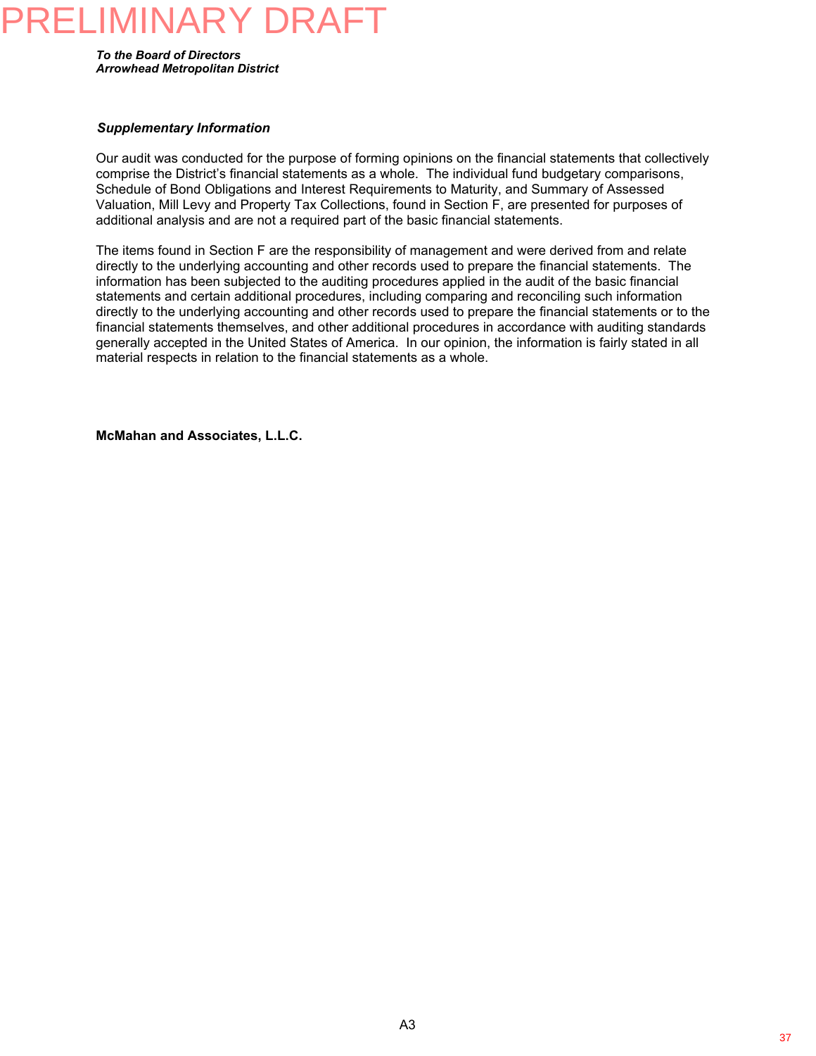### IMINARY DRAI

*To the Board of Directors Arrowhead Metropolitan District*

#### *Supplementary Information*

Our audit was conducted for the purpose of forming opinions on the financial statements that collectively comprise the District's financial statements as a whole. The individual fund budgetary comparisons, Schedule of Bond Obligations and Interest Requirements to Maturity, and Summary of Assessed Valuation, Mill Levy and Property Tax Collections, found in Section F, are presented for purposes of additional analysis and are not a required part of the basic financial statements.

The items found in Section F are the responsibility of management and were derived from and relate directly to the underlying accounting and other records used to prepare the financial statements. The information has been subjected to the auditing procedures applied in the audit of the basic financial statements and certain additional procedures, including comparing and reconciling such information directly to the underlying accounting and other records used to prepare the financial statements or to the financial statements themselves, and other additional procedures in accordance with auditing standards generally accepted in the United States of America. In our opinion, the information is fairly stated in all material respects in relation to the financial statements as a whole.

**McMahan and Associates, L.L.C.**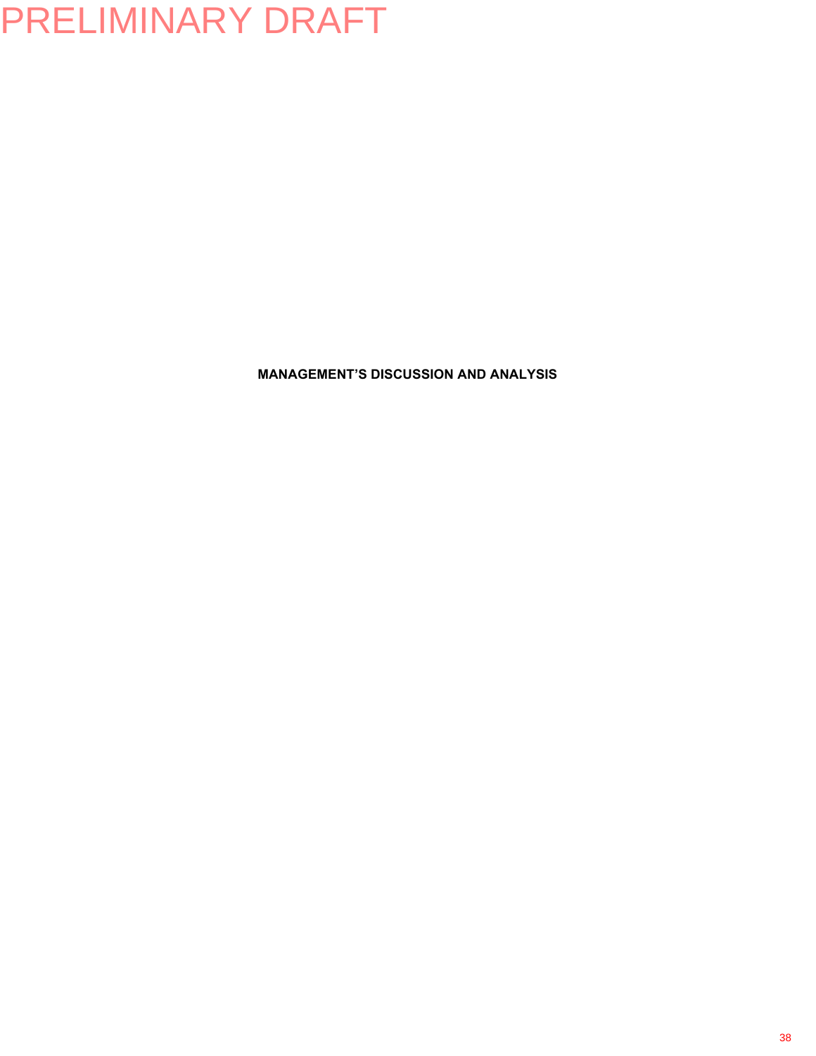**MANAGEMENT'S DISCUSSION AND ANALYSIS**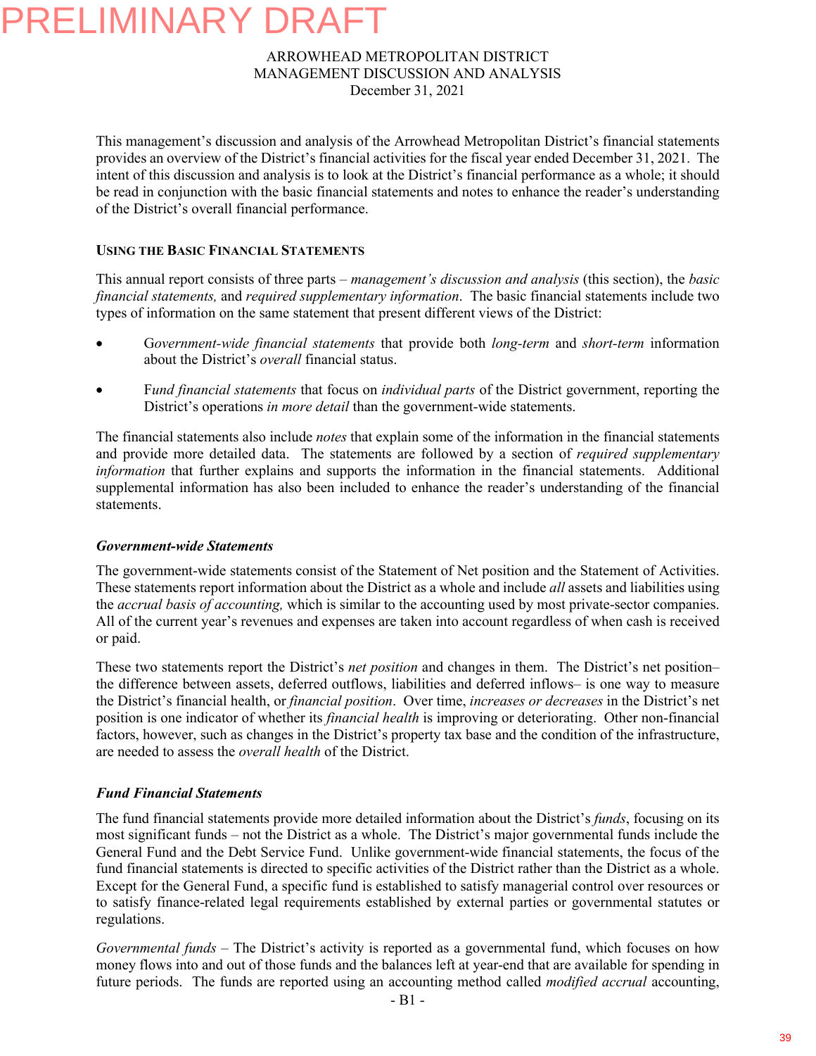### ARROWHEAD METROPOLITAN DISTRICT MANAGEMENT DISCUSSION AND ANALYSIS December 31, 2021

This management's discussion and analysis of the Arrowhead Metropolitan District's financial statements provides an overview of the District's financial activities for the fiscal year ended December 31, 2021. The intent of this discussion and analysis is to look at the District's financial performance as a whole; it should be read in conjunction with the basic financial statements and notes to enhance the reader's understanding of the District's overall financial performance.

### **USING THE BASIC FINANCIAL STATEMENTS**

This annual report consists of three parts – *management's discussion and analysis* (this section), the *basic financial statements,* and *required supplementary information*. The basic financial statements include two types of information on the same statement that present different views of the District:

- G*overnment-wide financial statements* that provide both *long-term* and *short-term* information about the District's *overall* financial status.
- F*und financial statements* that focus on *individual parts* of the District government, reporting the District's operations *in more detail* than the government-wide statements.

The financial statements also include *notes* that explain some of the information in the financial statements and provide more detailed data. The statements are followed by a section of *required supplementary information* that further explains and supports the information in the financial statements. Additional supplemental information has also been included to enhance the reader's understanding of the financial statements.

#### *Government-wide Statements*

The government-wide statements consist of the Statement of Net position and the Statement of Activities. These statements report information about the District as a whole and include *all* assets and liabilities using the *accrual basis of accounting,* which is similar to the accounting used by most private-sector companies. All of the current year's revenues and expenses are taken into account regardless of when cash is received or paid.

These two statements report the District's *net position* and changes in them. The District's net position– the difference between assets, deferred outflows, liabilities and deferred inflows– is one way to measure the District's financial health, or *financial position*. Over time, *increases or decreases* in the District's net position is one indicator of whether its *financial health* is improving or deteriorating. Other non-financial factors, however, such as changes in the District's property tax base and the condition of the infrastructure, are needed to assess the *overall health* of the District.

#### *Fund Financial Statements*

The fund financial statements provide more detailed information about the District's *funds*, focusing on its most significant funds – not the District as a whole. The District's major governmental funds include the General Fund and the Debt Service Fund. Unlike government-wide financial statements, the focus of the fund financial statements is directed to specific activities of the District rather than the District as a whole. Except for the General Fund, a specific fund is established to satisfy managerial control over resources or to satisfy finance-related legal requirements established by external parties or governmental statutes or regulations.

*Governmental funds* – The District's activity is reported as a governmental fund, which focuses on how money flows into and out of those funds and the balances left at year-end that are available for spending in future periods. The funds are reported using an accounting method called *modified accrual* accounting,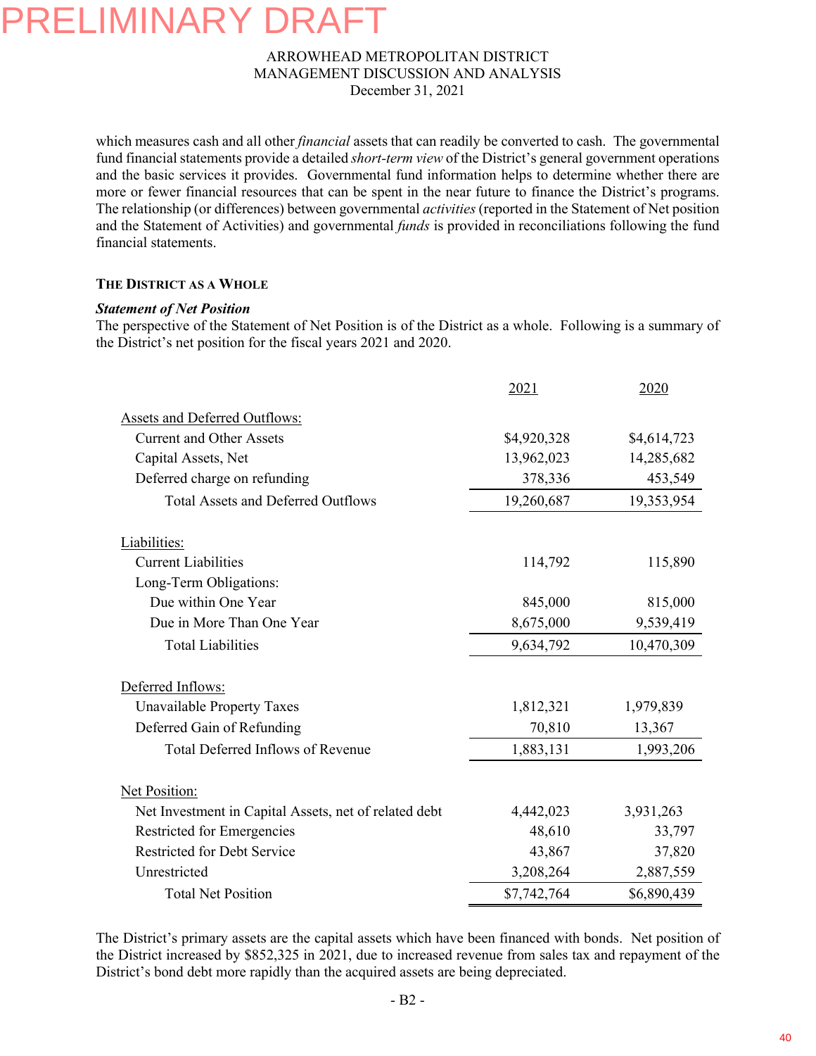### ARROWHEAD METROPOLITAN DISTRICT MANAGEMENT DISCUSSION AND ANALYSIS December 31, 2021

which measures cash and all other *financial* assets that can readily be converted to cash. The governmental fund financial statements provide a detailed *short-term view* of the District's general government operations and the basic services it provides. Governmental fund information helps to determine whether there are more or fewer financial resources that can be spent in the near future to finance the District's programs. The relationship (or differences) between governmental *activities* (reported in the Statement of Net position and the Statement of Activities) and governmental *funds* is provided in reconciliations following the fund financial statements.

#### **THE DISTRICT AS A WHOLE**

#### *Statement of Net Position*

The perspective of the Statement of Net Position is of the District as a whole. Following is a summary of the District's net position for the fiscal years 2021 and 2020.

|                                                       | 2021        | 2020        |
|-------------------------------------------------------|-------------|-------------|
| <b>Assets and Deferred Outflows:</b>                  |             |             |
| <b>Current and Other Assets</b>                       | \$4,920,328 | \$4,614,723 |
| Capital Assets, Net                                   | 13,962,023  | 14,285,682  |
| Deferred charge on refunding                          | 378,336     | 453,549     |
| <b>Total Assets and Deferred Outflows</b>             | 19,260,687  | 19,353,954  |
| Liabilities:                                          |             |             |
| <b>Current Liabilities</b>                            | 114,792     | 115,890     |
| Long-Term Obligations:                                |             |             |
| Due within One Year                                   | 845,000     | 815,000     |
| Due in More Than One Year                             | 8,675,000   | 9,539,419   |
| <b>Total Liabilities</b>                              | 9,634,792   | 10,470,309  |
| Deferred Inflows:                                     |             |             |
| Unavailable Property Taxes                            | 1,812,321   | 1,979,839   |
| Deferred Gain of Refunding                            | 70,810      | 13,367      |
| <b>Total Deferred Inflows of Revenue</b>              | 1,883,131   | 1,993,206   |
| Net Position:                                         |             |             |
| Net Investment in Capital Assets, net of related debt | 4,442,023   | 3,931,263   |
| Restricted for Emergencies                            | 48,610      | 33,797      |
| Restricted for Debt Service                           | 43,867      | 37,820      |
| Unrestricted                                          | 3,208,264   | 2,887,559   |
| <b>Total Net Position</b>                             | \$7,742,764 | \$6,890,439 |

The District's primary assets are the capital assets which have been financed with bonds. Net position of the District increased by \$852,325 in 2021, due to increased revenue from sales tax and repayment of the District's bond debt more rapidly than the acquired assets are being depreciated.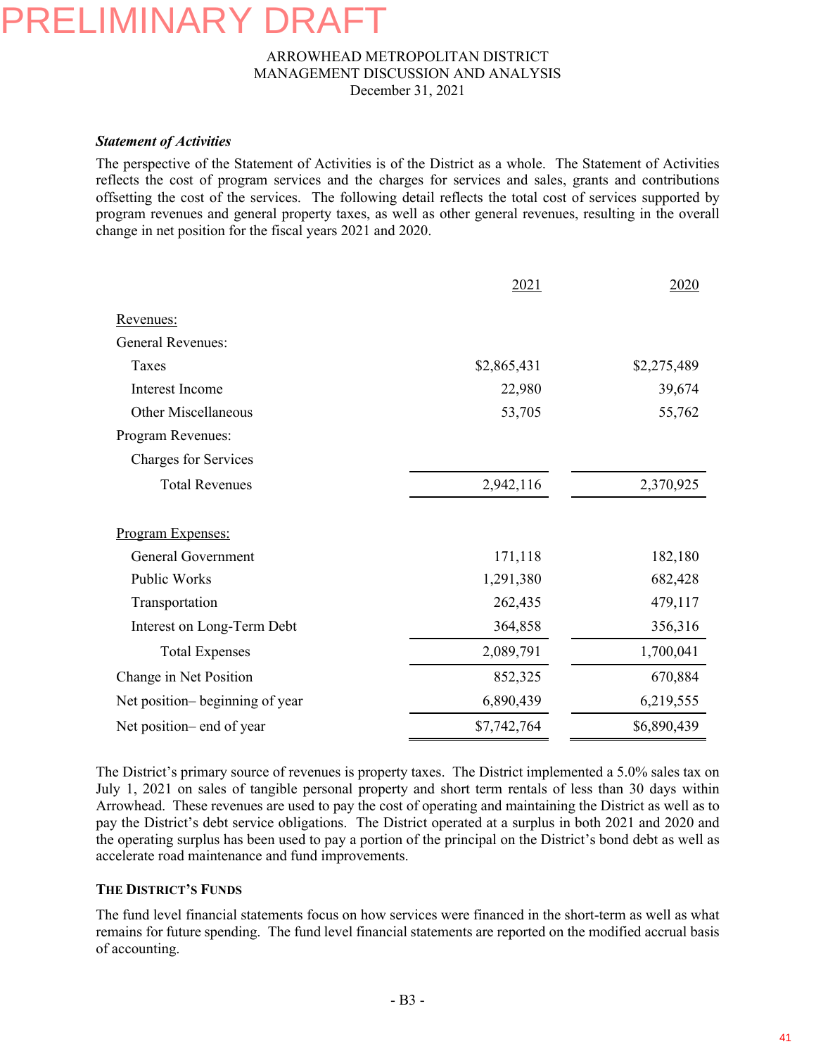#### ARROWHEAD METROPOLITAN DISTRICT MANAGEMENT DISCUSSION AND ANALYSIS December 31, 2021

#### *Statement of Activities*

The perspective of the Statement of Activities is of the District as a whole. The Statement of Activities reflects the cost of program services and the charges for services and sales, grants and contributions offsetting the cost of the services. The following detail reflects the total cost of services supported by program revenues and general property taxes, as well as other general revenues, resulting in the overall change in net position for the fiscal years 2021 and 2020.

|                                | 2021        | 2020        |
|--------------------------------|-------------|-------------|
| Revenues:                      |             |             |
| <b>General Revenues:</b>       |             |             |
| Taxes                          | \$2,865,431 | \$2,275,489 |
| Interest Income                | 22,980      | 39,674      |
| <b>Other Miscellaneous</b>     | 53,705      | 55,762      |
| Program Revenues:              |             |             |
| <b>Charges for Services</b>    |             |             |
| <b>Total Revenues</b>          | 2,942,116   | 2,370,925   |
|                                |             |             |
| Program Expenses:              |             |             |
| <b>General Government</b>      | 171,118     | 182,180     |
| <b>Public Works</b>            | 1,291,380   | 682,428     |
| Transportation                 | 262,435     | 479,117     |
| Interest on Long-Term Debt     | 364,858     | 356,316     |
| <b>Total Expenses</b>          | 2,089,791   | 1,700,041   |
| Change in Net Position         | 852,325     | 670,884     |
| Net position-beginning of year | 6,890,439   | 6,219,555   |
| Net position-end of year       | \$7,742,764 | \$6,890,439 |

The District's primary source of revenues is property taxes. The District implemented a 5.0% sales tax on July 1, 2021 on sales of tangible personal property and short term rentals of less than 30 days within Arrowhead. These revenues are used to pay the cost of operating and maintaining the District as well as to pay the District's debt service obligations. The District operated at a surplus in both 2021 and 2020 and the operating surplus has been used to pay a portion of the principal on the District's bond debt as well as accelerate road maintenance and fund improvements.

#### **THE DISTRICT'S FUNDS**

The fund level financial statements focus on how services were financed in the short-term as well as what remains for future spending. The fund level financial statements are reported on the modified accrual basis of accounting.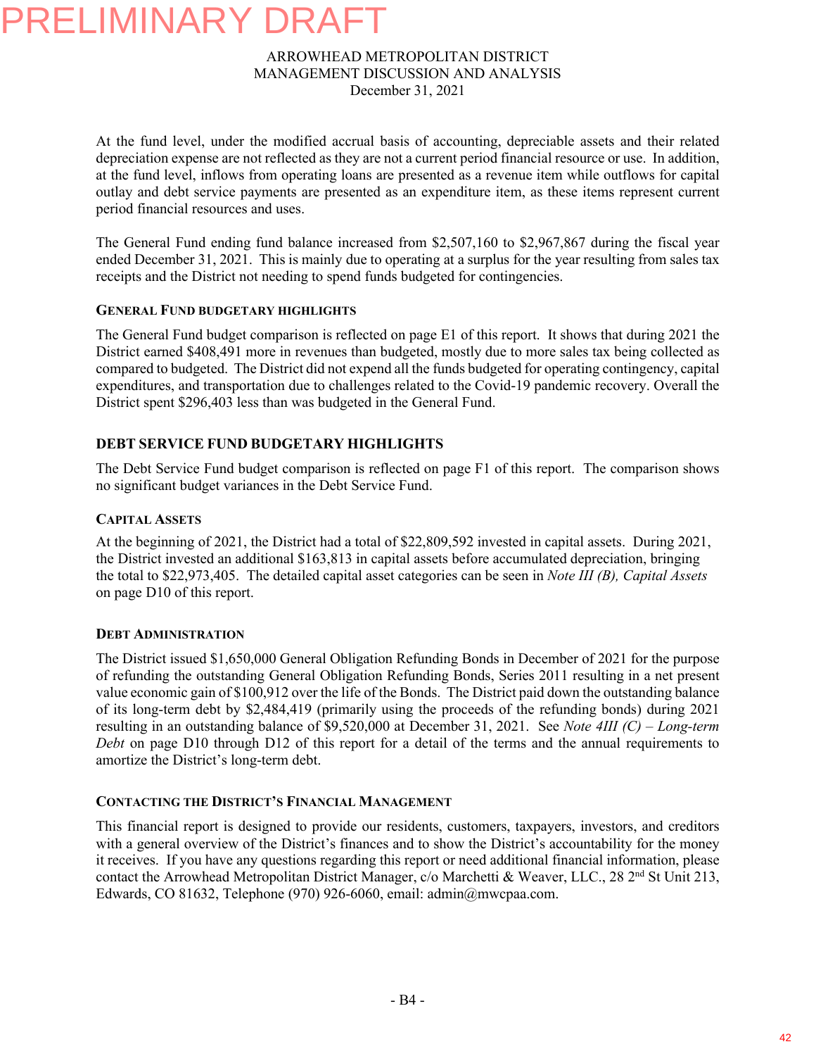### ARROWHEAD METROPOLITAN DISTRICT MANAGEMENT DISCUSSION AND ANALYSIS December 31, 2021

At the fund level, under the modified accrual basis of accounting, depreciable assets and their related depreciation expense are not reflected as they are not a current period financial resource or use. In addition, at the fund level, inflows from operating loans are presented as a revenue item while outflows for capital outlay and debt service payments are presented as an expenditure item, as these items represent current period financial resources and uses.

The General Fund ending fund balance increased from \$2,507,160 to \$2,967,867 during the fiscal year ended December 31, 2021. This is mainly due to operating at a surplus for the year resulting from sales tax receipts and the District not needing to spend funds budgeted for contingencies.

#### **GENERAL FUND BUDGETARY HIGHLIGHTS**

The General Fund budget comparison is reflected on page E1 of this report. It shows that during 2021 the District earned \$408,491 more in revenues than budgeted, mostly due to more sales tax being collected as compared to budgeted. The District did not expend all the funds budgeted for operating contingency, capital expenditures, and transportation due to challenges related to the Covid-19 pandemic recovery. Overall the District spent \$296,403 less than was budgeted in the General Fund.

### **DEBT SERVICE FUND BUDGETARY HIGHLIGHTS**

The Debt Service Fund budget comparison is reflected on page F1 of this report. The comparison shows no significant budget variances in the Debt Service Fund.

#### **CAPITAL ASSETS**

At the beginning of 2021, the District had a total of \$22,809,592 invested in capital assets. During 2021, the District invested an additional \$163,813 in capital assets before accumulated depreciation, bringing the total to \$22,973,405. The detailed capital asset categories can be seen in *Note III (B), Capital Assets* on page D10 of this report.

#### **DEBT ADMINISTRATION**

The District issued \$1,650,000 General Obligation Refunding Bonds in December of 2021 for the purpose of refunding the outstanding General Obligation Refunding Bonds, Series 2011 resulting in a net present value economic gain of \$100,912 over the life of the Bonds. The District paid down the outstanding balance of its long-term debt by \$2,484,419 (primarily using the proceeds of the refunding bonds) during 2021 resulting in an outstanding balance of \$9,520,000 at December 31, 2021. See *Note 4III (C) – Long-term Debt* on page D10 through D12 of this report for a detail of the terms and the annual requirements to amortize the District's long-term debt.

#### **CONTACTING THE DISTRICT'S FINANCIAL MANAGEMENT**

This financial report is designed to provide our residents, customers, taxpayers, investors, and creditors with a general overview of the District's finances and to show the District's accountability for the money it receives. If you have any questions regarding this report or need additional financial information, please contact the Arrowhead Metropolitan District Manager, c/o Marchetti & Weaver, LLC., 28 2<sup>nd</sup> St Unit 213, Edwards, CO 81632, Telephone (970) 926-6060, email: admin@mwcpaa.com.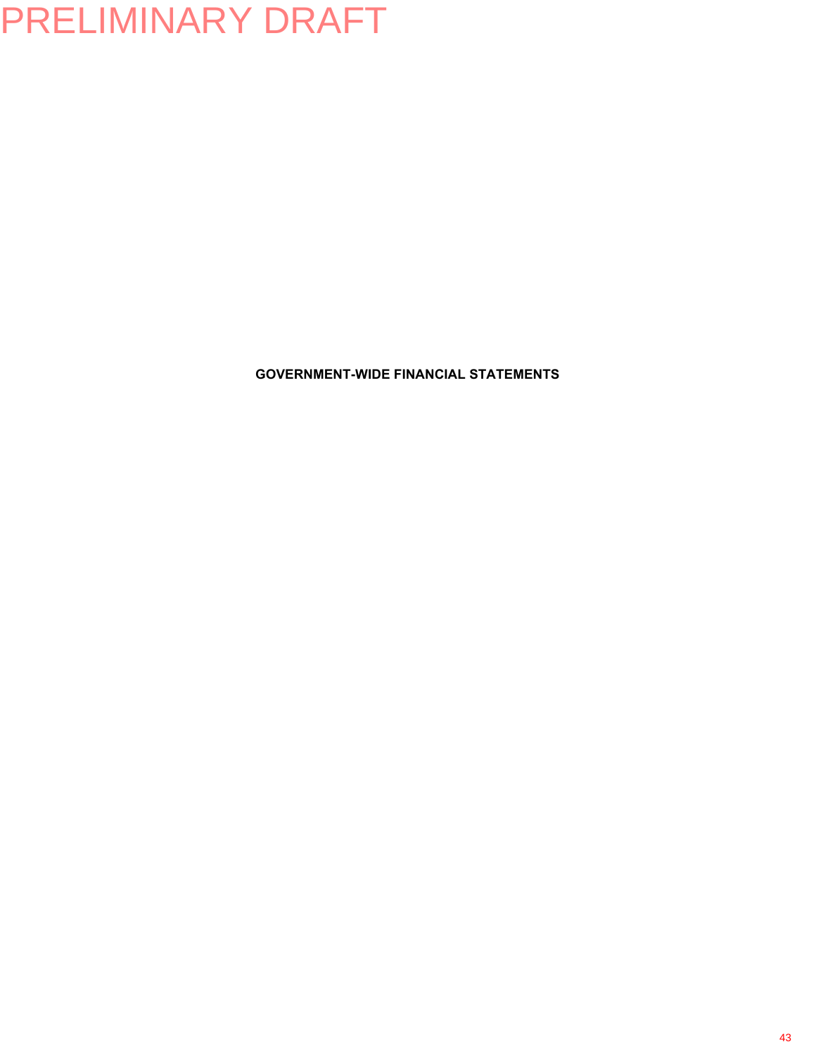**GOVERNMENT-WIDE FINANCIAL STATEMENTS**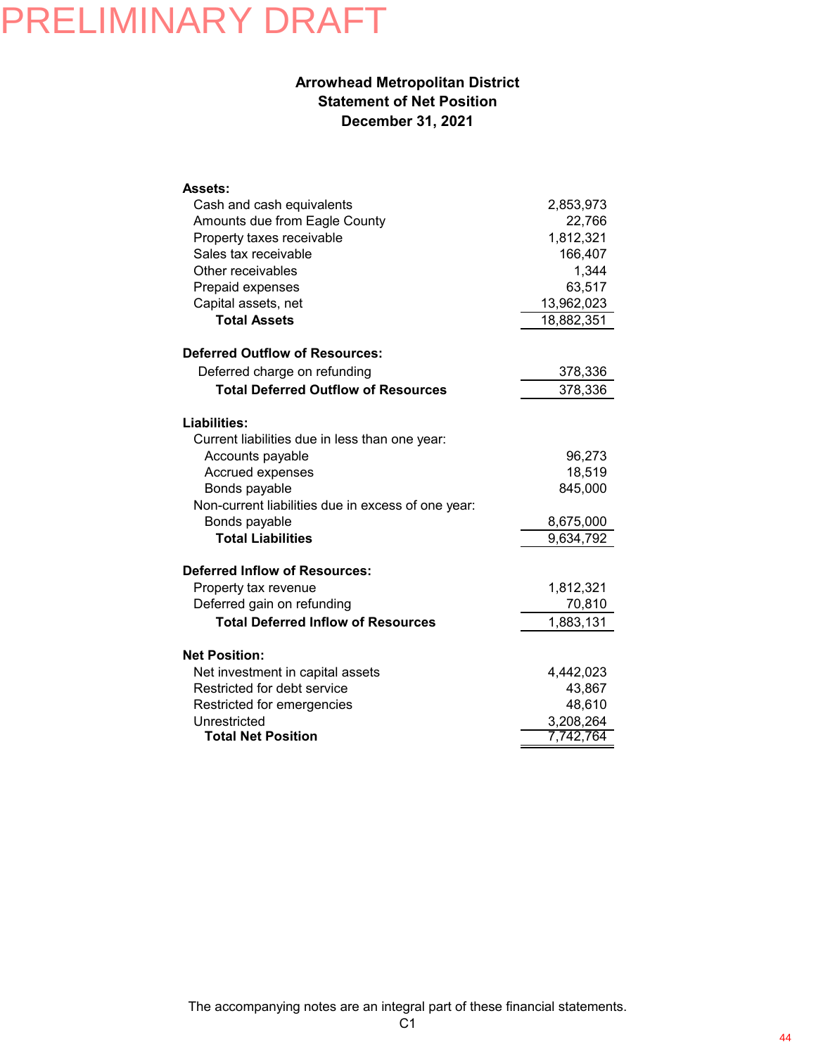### **December 31, 2021 Statement of Net Position Arrowhead Metropolitan District**

| <b>Assets:</b>                                     |            |
|----------------------------------------------------|------------|
| Cash and cash equivalents                          | 2,853,973  |
| Amounts due from Eagle County                      | 22,766     |
| Property taxes receivable                          | 1,812,321  |
| Sales tax receivable                               | 166,407    |
| Other receivables                                  | 1,344      |
| Prepaid expenses                                   | 63,517     |
| Capital assets, net                                | 13,962,023 |
| <b>Total Assets</b>                                | 18,882,351 |
| <b>Deferred Outflow of Resources:</b>              |            |
| Deferred charge on refunding                       | 378,336    |
| <b>Total Deferred Outflow of Resources</b>         | 378,336    |
| Liabilities:                                       |            |
| Current liabilities due in less than one year:     |            |
| Accounts payable                                   | 96,273     |
| Accrued expenses                                   | 18,519     |
| Bonds payable                                      | 845,000    |
| Non-current liabilities due in excess of one year: |            |
| Bonds payable                                      | 8,675,000  |
| <b>Total Liabilities</b>                           | 9,634,792  |
| <b>Deferred Inflow of Resources:</b>               |            |
| Property tax revenue                               | 1,812,321  |
| Deferred gain on refunding                         | 70,810     |
| <b>Total Deferred Inflow of Resources</b>          | 1,883,131  |
| <b>Net Position:</b>                               |            |
| Net investment in capital assets                   | 4,442,023  |
| Restricted for debt service                        | 43,867     |
| Restricted for emergencies                         | 48,610     |
| Unrestricted                                       | 3,208,264  |
| <b>Total Net Position</b>                          | 7,742,764  |

The accompanying notes are an integral part of these financial statements.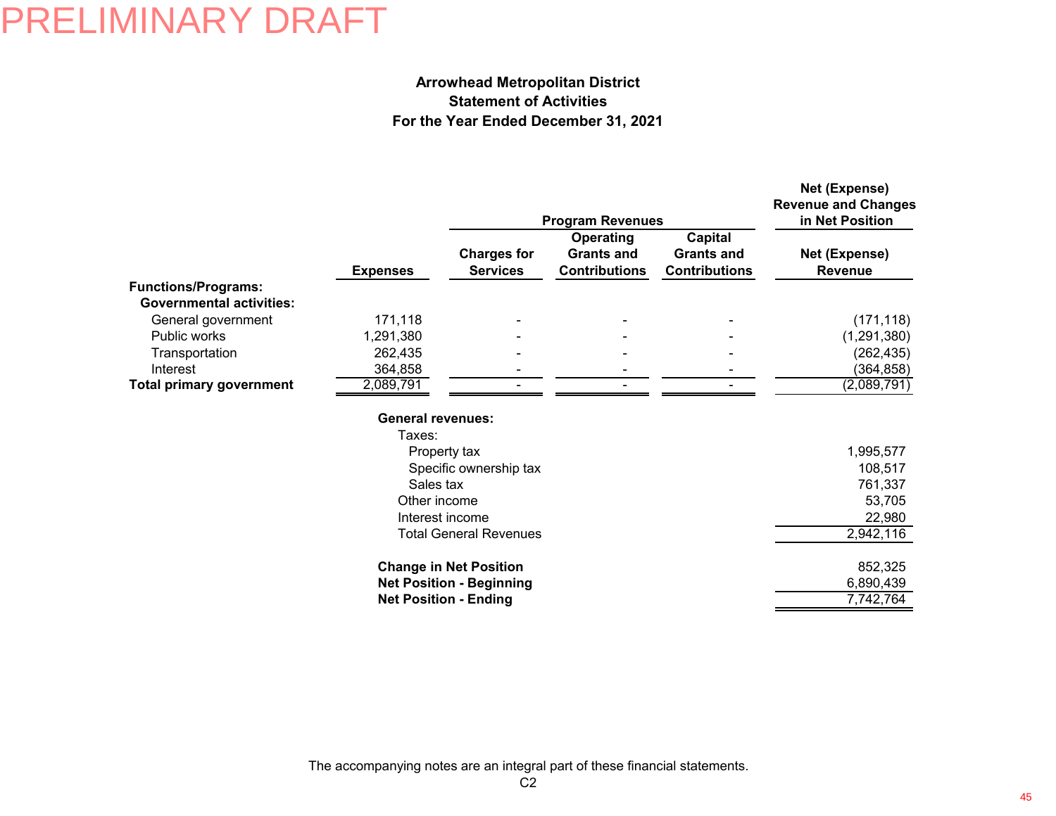### **Arrowhead Metropolitan District Statement of Activities For the Year Ended December 31, 2021**

|                                    |                               | <b>Program Revenues</b>               |                                                        |                                                      | Net (Expense)<br><b>Revenue and Changes</b><br>in Net Position |
|------------------------------------|-------------------------------|---------------------------------------|--------------------------------------------------------|------------------------------------------------------|----------------------------------------------------------------|
|                                    | <b>Expenses</b>               | <b>Charges for</b><br><b>Services</b> | Operating<br><b>Grants and</b><br><b>Contributions</b> | Capital<br><b>Grants and</b><br><b>Contributions</b> | Net (Expense)<br><b>Revenue</b>                                |
| <b>Functions/Programs:</b>         |                               |                                       |                                                        |                                                      |                                                                |
| <b>Governmental activities:</b>    |                               |                                       |                                                        |                                                      |                                                                |
| General government<br>Public works | 171,118<br>1,291,380          |                                       |                                                        |                                                      | (171, 118)                                                     |
| Transportation                     | 262,435                       |                                       |                                                        |                                                      | (1, 291, 380)<br>(262, 435)                                    |
| Interest                           | 364,858                       |                                       |                                                        |                                                      | (364, 858)                                                     |
| <b>Total primary government</b>    | 2,089,791                     |                                       |                                                        |                                                      | (2,089,791)                                                    |
|                                    | <b>General revenues:</b>      |                                       |                                                        |                                                      |                                                                |
|                                    | Taxes:                        |                                       |                                                        |                                                      |                                                                |
|                                    | Property tax                  |                                       |                                                        | 1,995,577                                            |                                                                |
|                                    | Specific ownership tax        |                                       |                                                        | 108,517                                              |                                                                |
|                                    | Sales tax                     |                                       |                                                        |                                                      | 761,337                                                        |
|                                    | Other income                  |                                       |                                                        |                                                      | 53,705                                                         |
|                                    | Interest income               |                                       |                                                        | 22,980                                               |                                                                |
|                                    | <b>Total General Revenues</b> |                                       | 2,942,116                                              |                                                      |                                                                |
|                                    |                               | <b>Change in Net Position</b>         |                                                        |                                                      | 852,325                                                        |
| <b>Net Position - Beginning</b>    |                               |                                       |                                                        |                                                      | 6,890,439                                                      |
| <b>Net Position - Ending</b>       |                               |                                       |                                                        |                                                      | 7,742,764                                                      |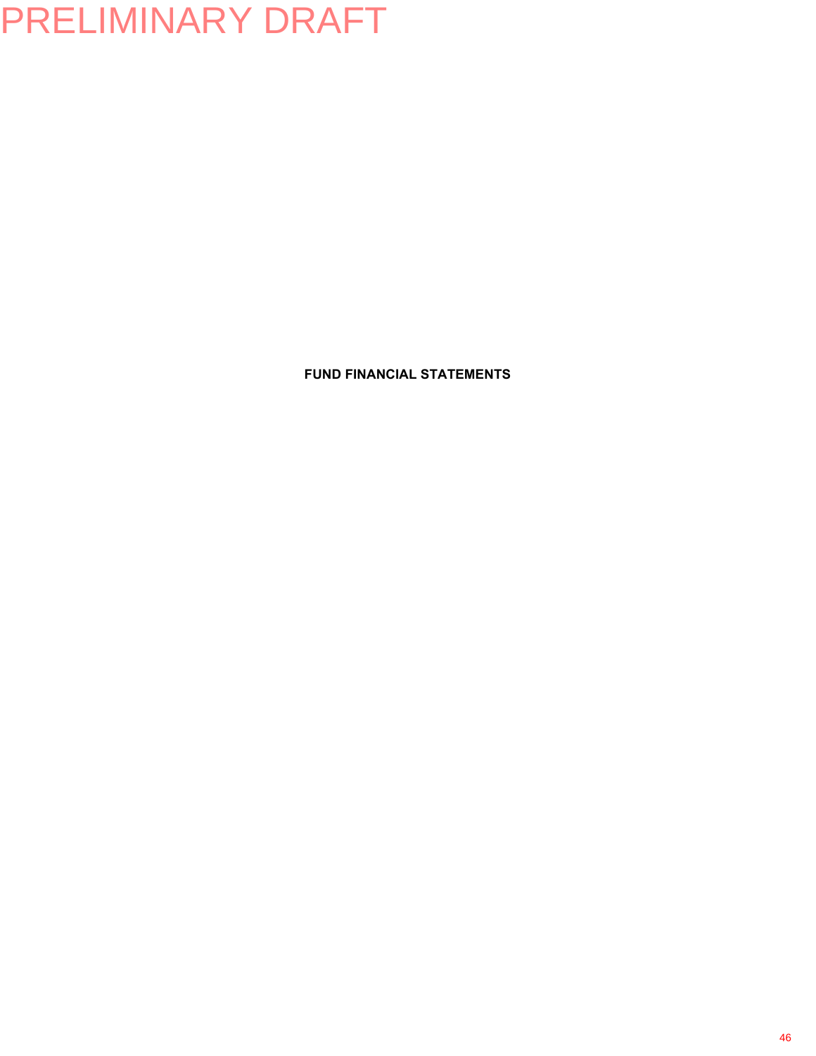**FUND FINANCIAL STATEMENTS**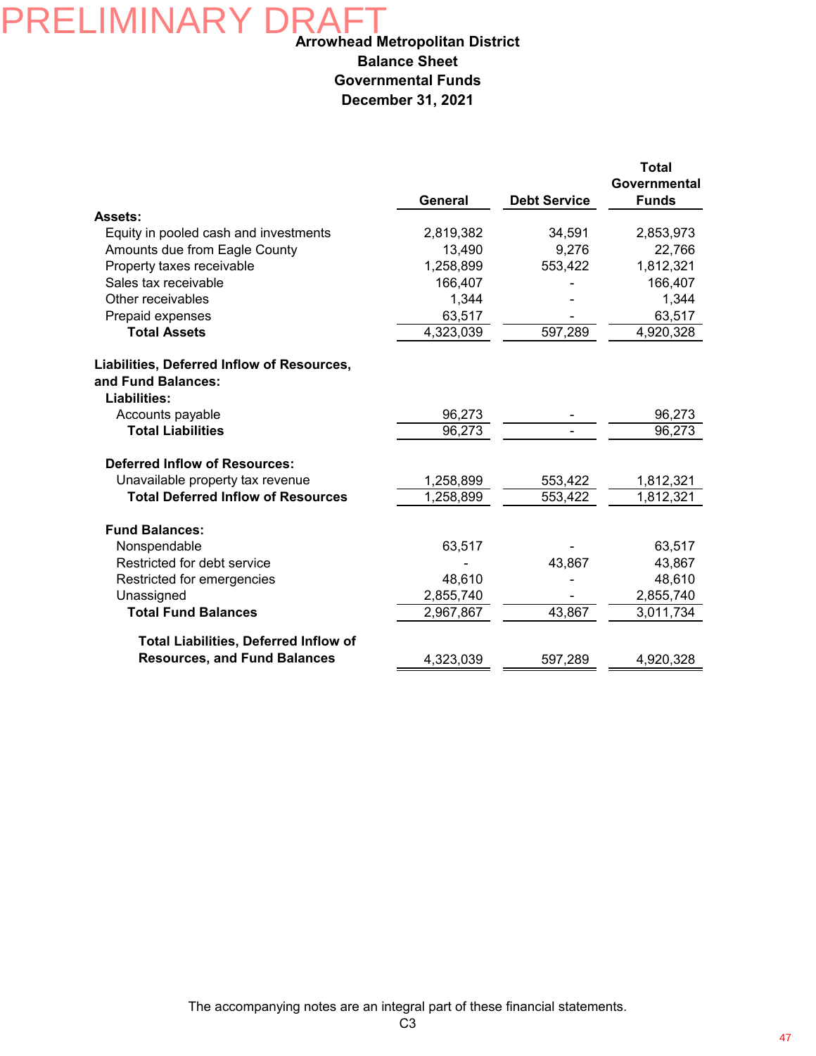### **December 31, 2021 Governmental Funds Balance Sheet Arrowhead Metropolitan District**

|                                              |           |                     | <b>Total</b> |
|----------------------------------------------|-----------|---------------------|--------------|
|                                              |           |                     | Governmental |
| <b>Assets:</b>                               | General   | <b>Debt Service</b> | <b>Funds</b> |
| Equity in pooled cash and investments        | 2,819,382 | 34,591              | 2,853,973    |
| Amounts due from Eagle County                | 13,490    | 9,276               | 22,766       |
|                                              |           |                     |              |
| Property taxes receivable                    | 1,258,899 | 553,422             | 1,812,321    |
| Sales tax receivable                         | 166,407   |                     | 166,407      |
| Other receivables                            | 1,344     |                     | 1,344        |
| Prepaid expenses                             | 63,517    |                     | 63,517       |
| <b>Total Assets</b>                          | 4,323,039 | 597,289             | 4,920,328    |
| Liabilities, Deferred Inflow of Resources,   |           |                     |              |
| and Fund Balances:                           |           |                     |              |
| <b>Liabilities:</b>                          |           |                     |              |
| Accounts payable                             | 96,273    |                     | 96,273       |
| <b>Total Liabilities</b>                     | 96,273    |                     | 96,273       |
| <b>Deferred Inflow of Resources:</b>         |           |                     |              |
| Unavailable property tax revenue             | 1,258,899 | 553,422             | 1,812,321    |
| <b>Total Deferred Inflow of Resources</b>    | 1,258,899 | 553,422             | 1,812,321    |
|                                              |           |                     |              |
| <b>Fund Balances:</b>                        |           |                     |              |
| Nonspendable                                 | 63,517    |                     | 63,517       |
| Restricted for debt service                  |           | 43,867              | 43,867       |
| Restricted for emergencies                   | 48,610    |                     | 48,610       |
| Unassigned                                   | 2,855,740 |                     | 2,855,740    |
| <b>Total Fund Balances</b>                   | 2,967,867 | 43,867              | 3,011,734    |
| <b>Total Liabilities, Deferred Inflow of</b> |           |                     |              |
| <b>Resources, and Fund Balances</b>          | 4,323,039 | 597,289             | 4,920,328    |

The accompanying notes are an integral part of these financial statements.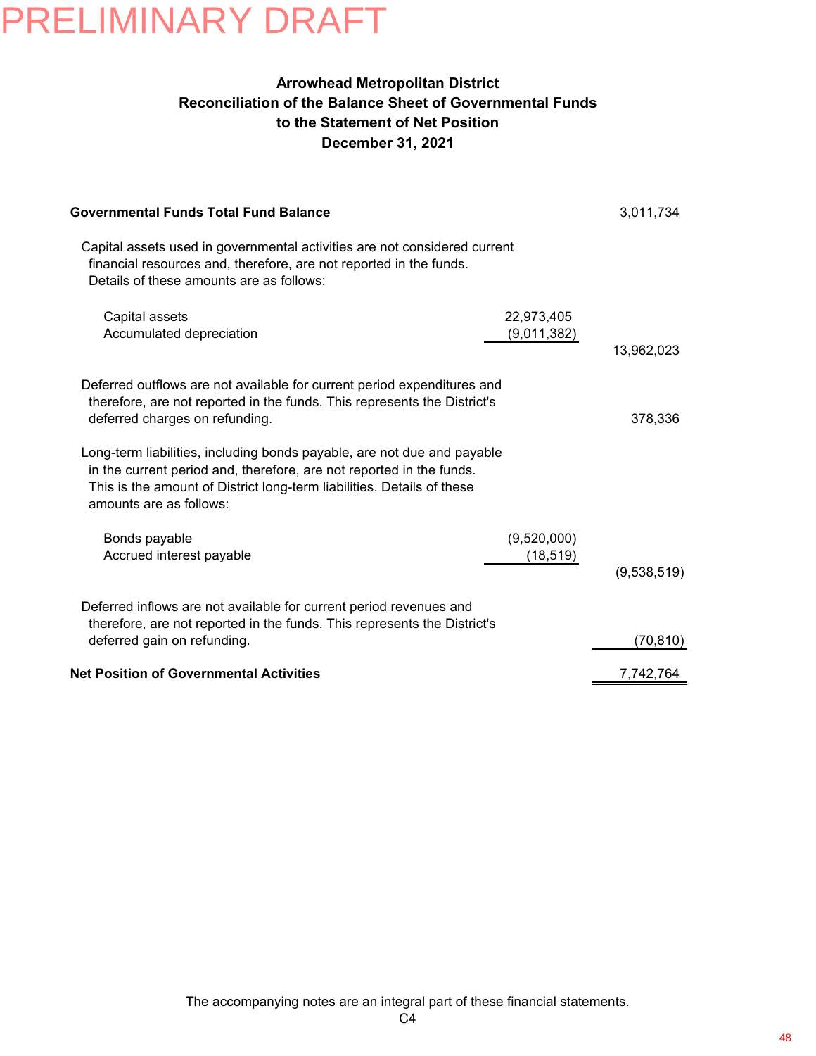### **Arrowhead Metropolitan District Reconciliation of the Balance Sheet of Governmental Funds to the Statement of Net Position December 31, 2021**

| <b>Governmental Funds Total Fund Balance</b>                                                                                                                                                                                                         | 3,011,734   |
|------------------------------------------------------------------------------------------------------------------------------------------------------------------------------------------------------------------------------------------------------|-------------|
| Capital assets used in governmental activities are not considered current<br>financial resources and, therefore, are not reported in the funds.<br>Details of these amounts are as follows:                                                          |             |
| Capital assets<br>22,973,405<br>Accumulated depreciation<br>(9,011,382)                                                                                                                                                                              | 13,962,023  |
| Deferred outflows are not available for current period expenditures and<br>therefore, are not reported in the funds. This represents the District's<br>deferred charges on refunding.                                                                | 378,336     |
| Long-term liabilities, including bonds payable, are not due and payable<br>in the current period and, therefore, are not reported in the funds.<br>This is the amount of District long-term liabilities. Details of these<br>amounts are as follows: |             |
| Bonds payable<br>(9,520,000)<br>Accrued interest payable<br>(18, 519)                                                                                                                                                                                | (9,538,519) |
| Deferred inflows are not available for current period revenues and<br>therefore, are not reported in the funds. This represents the District's<br>deferred gain on refunding.                                                                        | (70,810)    |
| <b>Net Position of Governmental Activities</b>                                                                                                                                                                                                       | 7,742,764   |